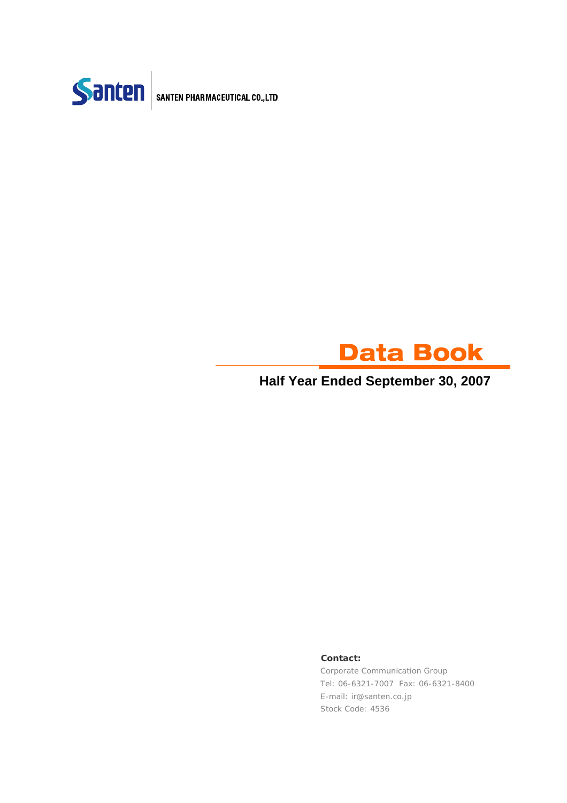



### **Half Year Ended September 30, 2007**

#### **Contact:**

Corporate Communication Group Tel: 06-6321-7007 Fax: 06-6321-8400 E-mail: ir@santen.co.jp Stock Code: 4536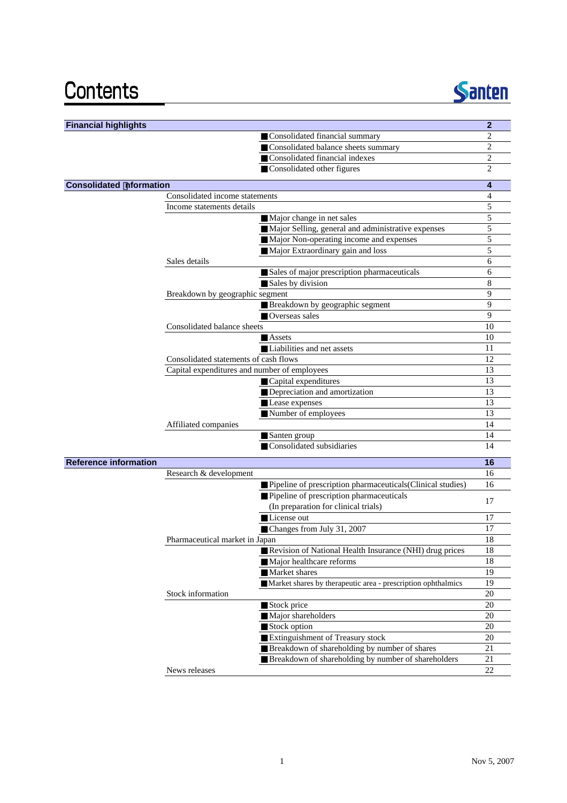## Contents



| <b>Financial highlights</b>    |                                              |                                                              | $\overline{2}$ |
|--------------------------------|----------------------------------------------|--------------------------------------------------------------|----------------|
|                                |                                              | Consolidated financial summary                               | 2              |
|                                |                                              | Consolidated balance sheets summary                          | $\overline{c}$ |
|                                |                                              | Consolidated financial indexes                               | $\overline{c}$ |
|                                |                                              | Consolidated other figures                                   | $\mathbf{2}$   |
| <b>Consolidated nformation</b> |                                              |                                                              | 4              |
|                                | Consolidated income statements               |                                                              | 4              |
|                                | Income statements details                    |                                                              | 5              |
|                                |                                              | Major change in net sales                                    | 5              |
|                                |                                              | Major Selling, general and administrative expenses           | 5              |
|                                |                                              | Major Non-operating income and expenses                      | 5              |
|                                |                                              | Major Extraordinary gain and loss                            | 5              |
|                                | Sales details                                |                                                              | 6              |
|                                |                                              | Sales of major prescription pharmaceuticals                  | 6              |
|                                |                                              | Sales by division                                            | 8              |
|                                | Breakdown by geographic segment              |                                                              | 9              |
|                                |                                              | Breakdown by geographic segment                              | 9              |
|                                |                                              | Overseas sales                                               | 9              |
|                                | Consolidated balance sheets                  |                                                              | 10             |
|                                |                                              | Assets                                                       | 10             |
|                                |                                              | Liabilities and net assets                                   | 11             |
|                                | Consolidated statements of cash flows        |                                                              | 12             |
|                                | Capital expenditures and number of employees |                                                              | 13             |
|                                |                                              | Capital expenditures                                         | 13             |
|                                |                                              | Depreciation and amortization                                | 13             |
|                                |                                              | Lease expenses                                               | 13             |
|                                |                                              | Number of employees                                          | 13             |
|                                | Affiliated companies                         |                                                              | 14             |
|                                |                                              | Santen group                                                 | 14             |
|                                |                                              | Consolidated subsidiaries                                    | 14             |
| <b>Reference information</b>   |                                              |                                                              | 16             |
|                                | Research & development                       |                                                              | 16             |
|                                |                                              | Pipeline of prescription pharmaceuticals(Clinical studies)   | 16             |
|                                |                                              | Pipeline of prescription pharmaceuticals                     |                |
|                                |                                              | (In preparation for clinical trials)                         | 17             |
|                                |                                              | License out                                                  | 17             |
|                                |                                              | Changes from July 31, 2007                                   | 17             |
|                                | Pharmaceutical market in Japan               |                                                              | 18             |
|                                |                                              | Revision of National Health Insurance (NHI) drug prices      | 18             |
|                                |                                              | Major healthcare reforms                                     | 18             |
|                                |                                              | Market shares                                                | 19             |
|                                |                                              | Market shares by therapeutic area - prescription ophthalmics | 19             |
|                                | Stock information                            |                                                              | 20             |
|                                |                                              | Stock price                                                  | 20             |
|                                |                                              | Major shareholders                                           | 20             |
|                                |                                              | Stock option                                                 | 20             |
|                                |                                              | Extinguishment of Treasury stock                             | 20             |
|                                |                                              | Breakdown of shareholding by number of shares                | 21             |
|                                |                                              | Breakdown of shareholding by number of shareholders          | 21             |
|                                | News releases                                |                                                              | 22             |
|                                |                                              |                                                              |                |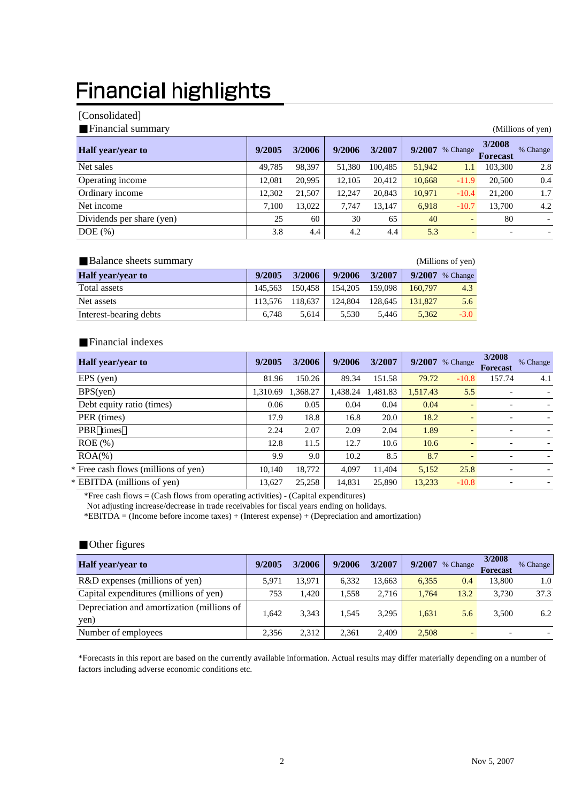## **Financial highlights**

#### [Consolidated]

| Financial summary         |        |        |        |         | (Millions of yen) |                              |                           |          |
|---------------------------|--------|--------|--------|---------|-------------------|------------------------------|---------------------------|----------|
| <b>Half</b> year/year to  | 9/2005 | 3/2006 | 9/2006 | 3/2007  | 9/2007            | % Change                     | 3/2008<br><b>Forecast</b> | % Change |
| Net sales                 | 49,785 | 98,397 | 51,380 | 100,485 | 51,942            | 1.1                          | 103,300                   | 2.8      |
| Operating income          | 12.081 | 20,995 | 12,105 | 20,412  | 10,668            | $-11.9$                      | 20,500                    | 0.4      |
| Ordinary income           | 12.302 | 21,507 | 12.247 | 20,843  | 10.971            | $-10.4$                      | 21,200                    | 1.7      |
| Net income                | 7.100  | 13.022 | 7.747  | 13,147  | 6,918             | $-10.7$                      | 13.700                    | 4.2      |
| Dividends per share (yen) | 25     | 60     | 30     | 65      | 40                | $\qquad \qquad \blacksquare$ | 80                        |          |
| $DOE$ $(\%)$              | 3.8    | 4.4    | 4.2    | 4.4     | 5.3               |                              | -                         |          |

| Balance sheets summary   |         |         |         |         |         | (Millions of yen) |
|--------------------------|---------|---------|---------|---------|---------|-------------------|
| <b>Half</b> year/year to | 9/2005  | 3/2006  | 9/2006  | 3/2007  | 9/2007  | % Change          |
| Total assets             | 145.563 | 150.458 | 154,205 | 159,098 | 160,797 | 4.3               |
| Net assets               | 113,576 | 118.637 | 124,804 | 128.645 | 131,827 | 5.6               |
| Interest-bearing debts   | 6.748   | 5.614   | 5.530   | 5.446   | 5,362   | $-3.0$            |

#### Financial indexes

| <b>Half</b> year/year to            | 9/2005   | 3/2006   | 9/2006   | 3/2007   | 9/2007   | % Change                 | 3/2008<br><b>Forecast</b> | % Change |
|-------------------------------------|----------|----------|----------|----------|----------|--------------------------|---------------------------|----------|
| EPS (yen)                           | 81.96    | 150.26   | 89.34    | 151.58   | 79.72    | $-10.8$                  | 157.74                    | 4.1      |
| BPS(yen)                            | 1,310.69 | 1,368.27 | 1,438.24 | 1,481.83 | 1,517.43 | 5.5                      |                           |          |
| Debt equity ratio (times)           | 0.06     | 0.05     | 0.04     | 0.04     | 0.04     | $\overline{\phantom{0}}$ | ٠                         |          |
| PER (times)                         | 17.9     | 18.8     | 16.8     | 20.0     | 18.2     | $\overline{\phantom{0}}$ |                           |          |
| PBR times                           | 2.24     | 2.07     | 2.09     | 2.04     | 1.89     | ٠                        | ٠                         |          |
| $ROE$ (%)                           | 12.8     | 11.5     | 12.7     | 10.6     | 10.6     | $\overline{\phantom{0}}$ |                           |          |
| $ROA(\% )$                          | 9.9      | 9.0      | 10.2     | 8.5      | 8.7      | $\overline{\phantom{a}}$ | ٠                         |          |
| * Free cash flows (millions of yen) | 10.140   | 18,772   | 4.097    | 11,404   | 5,152    | 25.8                     | $\overline{\phantom{a}}$  |          |
| * EBITDA (millions of yen)          | 13,627   | 25,258   | 14,831   | 25,890   | 13,233   | $-10.8$                  | $\overline{\phantom{a}}$  |          |

\*Free cash flows = (Cash flows from operating activities) - (Capital expenditures)

Not adjusting increase/decrease in trade receivables for fiscal years ending on holidays.

\*EBITDA = (Income before income taxes) + (Interest expense) + (Depreciation and amortization)

#### Other figures

| <b>Half</b> year/year to                           | 9/2005 | 3/2006 | 9/2006 | 3/2007 | 9/2007 | % Change       | 3/2008<br><b>Forecast</b> | % Change |
|----------------------------------------------------|--------|--------|--------|--------|--------|----------------|---------------------------|----------|
| R&D expenses (millions of yen)                     | 5.971  | 13.971 | 6.332  | 13.663 | 6.355  | 0.4            | 13,800                    | 1.0      |
| Capital expenditures (millions of yen)             | 753    | 1.420  | 1.558  | 2.716  | 1.764  | 13.2           | 3.730                     | 37.3     |
| Depreciation and amortization (millions of<br>yen) | 1.642  | 3,343  | 1.545  | 3,295  | 1.631  | 5.6            | 3,500                     | 6.2      |
| Number of employees                                | 2.356  | 2.312  | 2.361  | 2.409  | 2,508  | $\overline{a}$ |                           |          |

\*Forecasts in this report are based on the currently available information. Actual results may differ materially depending on a number of factors including adverse economic conditions etc.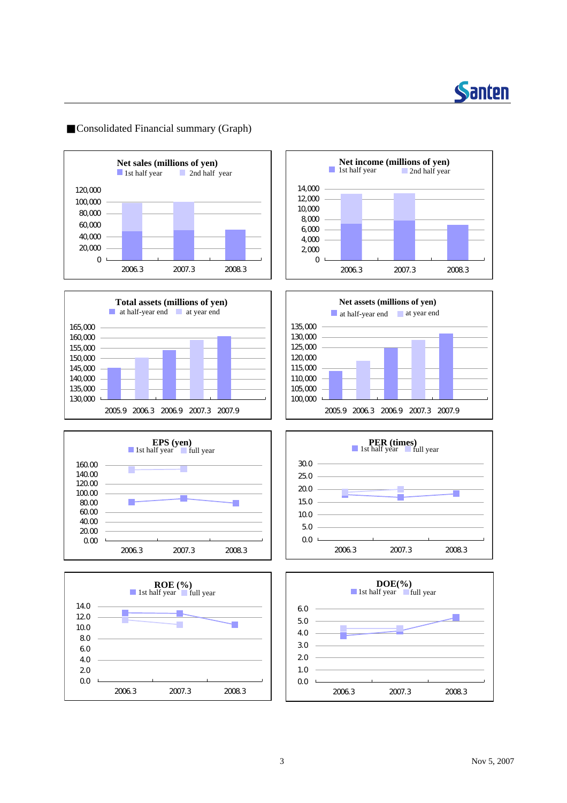

#### Consolidated Financial summary (Graph)















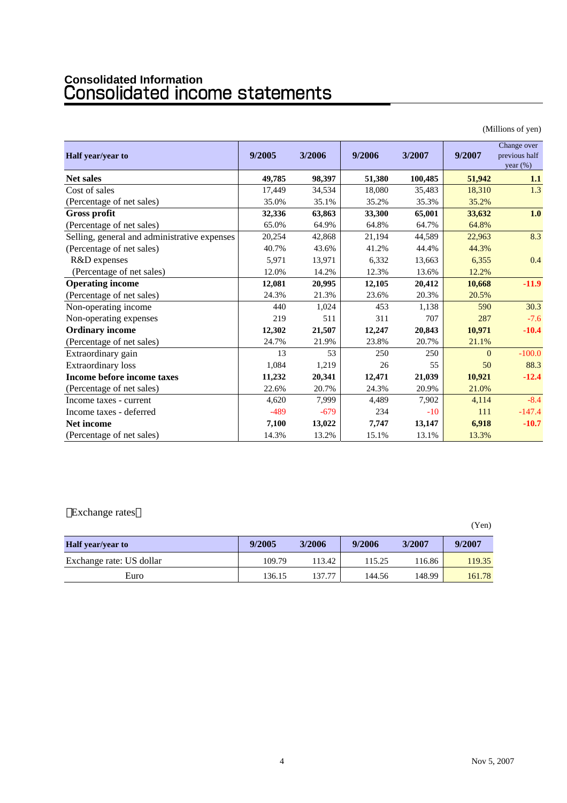# **Consolidated Information**

|                                              |        |        |        |         |          | (Millions of yen)                           |
|----------------------------------------------|--------|--------|--------|---------|----------|---------------------------------------------|
| Half year/year to                            | 9/2005 | 3/2006 | 9/2006 | 3/2007  | 9/2007   | Change over<br>previous half<br>year $(\%)$ |
| <b>Net sales</b>                             | 49,785 | 98,397 | 51,380 | 100,485 | 51,942   | 1.1                                         |
| Cost of sales                                | 17,449 | 34,534 | 18,080 | 35,483  | 18,310   | 1.3                                         |
| (Percentage of net sales)                    | 35.0%  | 35.1%  | 35.2%  | 35.3%   | 35.2%    |                                             |
| <b>Gross profit</b>                          | 32,336 | 63,863 | 33,300 | 65,001  | 33,632   | 1.0                                         |
| (Percentage of net sales)                    | 65.0%  | 64.9%  | 64.8%  | 64.7%   | 64.8%    |                                             |
| Selling, general and administrative expenses | 20,254 | 42,868 | 21,194 | 44,589  | 22,963   | 8.3                                         |
| (Percentage of net sales)                    | 40.7%  | 43.6%  | 41.2%  | 44.4%   | 44.3%    |                                             |
| R&D expenses                                 | 5,971  | 13,971 | 6,332  | 13,663  | 6,355    | 0.4                                         |
| (Percentage of net sales)                    | 12.0%  | 14.2%  | 12.3%  | 13.6%   | 12.2%    |                                             |
| <b>Operating income</b>                      | 12,081 | 20,995 | 12,105 | 20,412  | 10,668   | $-11.9$                                     |
| (Percentage of net sales)                    | 24.3%  | 21.3%  | 23.6%  | 20.3%   | 20.5%    |                                             |
| Non-operating income                         | 440    | 1,024  | 453    | 1,138   | 590      | 30.3                                        |
| Non-operating expenses                       | 219    | 511    | 311    | 707     | 287      | $-7.6$                                      |
| <b>Ordinary income</b>                       | 12,302 | 21,507 | 12,247 | 20,843  | 10,971   | $-10.4$                                     |
| (Percentage of net sales)                    | 24.7%  | 21.9%  | 23.8%  | 20.7%   | 21.1%    |                                             |
| Extraordinary gain                           | 13     | 53     | 250    | 250     | $\Omega$ | $-100.0$                                    |
| <b>Extraordinary</b> loss                    | 1,084  | 1,219  | 26     | 55      | 50       | 88.3                                        |
| Income before income taxes                   | 11,232 | 20,341 | 12,471 | 21,039  | 10,921   | $-12.4$                                     |
| (Percentage of net sales)                    | 22.6%  | 20.7%  | 24.3%  | 20.9%   | 21.0%    |                                             |
| Income taxes - current                       | 4,620  | 7,999  | 4,489  | 7,902   | 4,114    | $-8.4$                                      |
| Income taxes - deferred                      | $-489$ | $-679$ | 234    | $-10$   | 111      | $-147.4$                                    |
| <b>Net income</b>                            | 7,100  | 13,022 | 7,747  | 13,147  | 6,918    | $-10.7$                                     |
| (Percentage of net sales)                    | 14.3%  | 13.2%  | 15.1%  | 13.1%   | 13.3%    |                                             |

Exchange rates

|                          |        |        |        |        | (Yen)  |
|--------------------------|--------|--------|--------|--------|--------|
| <b>Half</b> year/year to | 9/2005 | 3/2006 | 9/2006 | 3/2007 | 9/2007 |
| Exchange rate: US dollar | 109.79 | 113.42 | 115.25 | 116.86 | 119.35 |
| Euro                     | 136.15 | 137.77 | 144.56 | 148.99 | 161.78 |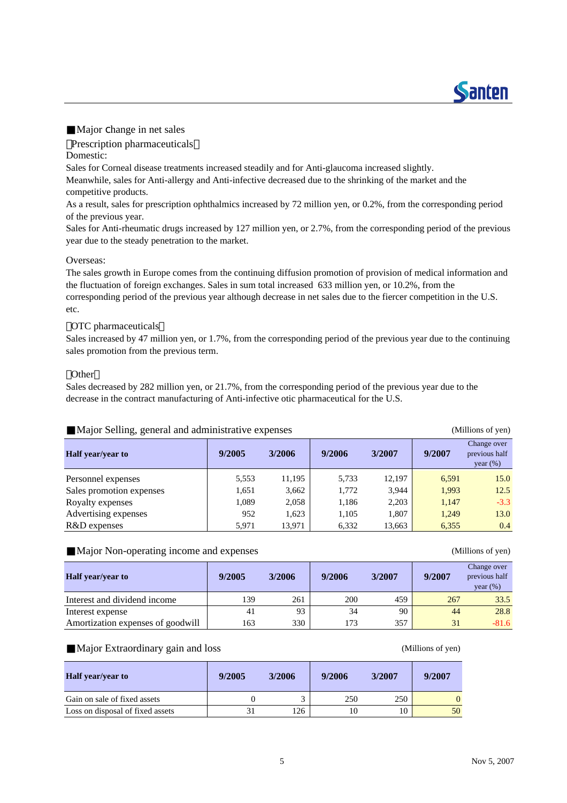Major change in net sales

Prescription pharmaceuticals

Domestic:

Sales for Corneal disease treatments increased steadily and for Anti-glaucoma increased slightly.

Meanwhile, sales for Anti-allergy and Anti-infective decreased due to the shrinking of the market and the competitive products.

As a result, sales for prescription ophthalmics increased by 72 million yen, or 0.2%, from the corresponding period of the previous year.

Sales for Anti-rheumatic drugs increased by 127 million yen, or 2.7%, from the corresponding period of the previous year due to the steady penetration to the market.

#### Overseas:

The sales growth in Europe comes from the continuing diffusion promotion of provision of medical information and the fluctuation of foreign exchanges. Sales in sum total increased 633 million yen, or 10.2%, from the corresponding period of the previous year although decrease in net sales due to the fiercer competition in the U.S. etc.

#### OTC pharmaceuticals

Sales increased by 47 million yen, or 1.7%, from the corresponding period of the previous year due to the continuing sales promotion from the previous term.

#### **Other**

Sales decreased by 282 million yen, or 21.7%, from the corresponding period of the previous year due to the decrease in the contract manufacturing of Anti-infective otic pharmaceutical for the U.S.

| Major Selling, general and administrative expenses |        | (Millions of yen) |        |        |        |                                             |
|----------------------------------------------------|--------|-------------------|--------|--------|--------|---------------------------------------------|
| <b>Half</b> year/year to                           | 9/2005 | 3/2006            | 9/2006 | 3/2007 | 9/2007 | Change over<br>previous half<br>year $(\%)$ |
| Personnel expenses                                 | 5,553  | 11,195            | 5,733  | 12.197 | 6.591  | 15.0                                        |
| Sales promotion expenses                           | 1,651  | 3,662             | 1,772  | 3.944  | 1,993  | 12.5                                        |
| Royalty expenses                                   | 1,089  | 2,058             | 1,186  | 2,203  | 1,147  | $-3.3$                                      |
| Advertising expenses                               | 952    | 1,623             | 1,105  | 1,807  | 1,249  | 13.0                                        |
| R&D expenses                                       | 5.971  | 13,971            | 6,332  | 13,663 | 6,355  | 0.4                                         |

#### Major Non-operating income and expenses (Millions of yen)

| <b>Half</b> year/year to          | 9/2005 | 3/2006 | 9/2006 | 3/2007 | 9/2007 | Change over<br>previous half<br>year $(\%)$ |
|-----------------------------------|--------|--------|--------|--------|--------|---------------------------------------------|
| Interest and dividend income      | 139    | 261    | 200    | 459    | 267    | 33.5                                        |
| Interest expense                  | 41     | 93     | 34     | 90     | 44     | 28.8                                        |
| Amortization expenses of goodwill | 163    | 330    | 173    | 357    | 31     | $-81.6$                                     |

#### Major Extraordinary gain and loss (Millions of yen)

| <b>Half</b> year/year to         | 9/2005 | 3/2006 | 9/2006 | 3/2007 | 9/2007 |
|----------------------------------|--------|--------|--------|--------|--------|
| Gain on sale of fixed assets     |        |        | 250    | 250    |        |
| Loss on disposal of fixed assets |        | 126    | 10     | 10     | 50     |

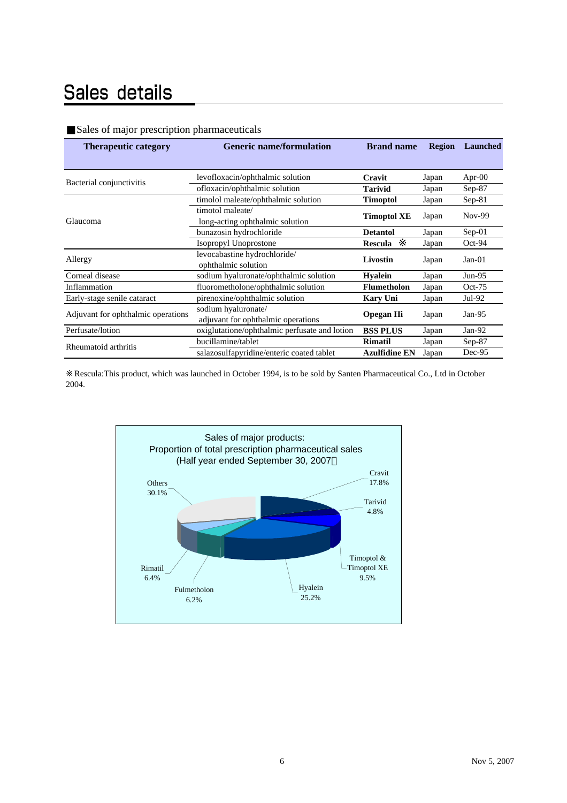## Sales details

|  | Sales of major prescription pharmaceuticals |
|--|---------------------------------------------|
|  |                                             |

| <b>Therapeutic category</b>        | <b>Generic name/formulation</b>               | <b>Brand name</b>    | <b>Region</b> | <b>Launched</b> |
|------------------------------------|-----------------------------------------------|----------------------|---------------|-----------------|
|                                    |                                               |                      |               |                 |
| Bacterial conjunctivitis           | levofloxacin/ophthalmic solution              | Cravit               | Japan         | Apr- $00$       |
|                                    | ofloxacin/ophthalmic solution                 | <b>Tarivid</b>       | Japan         | $Sep-87$        |
|                                    | timolol maleate/ophthalmic solution           | <b>Timoptol</b>      | Japan         | $Sep-81$        |
|                                    | timotol maleate/                              |                      |               | $Nov-99$        |
| Glaucoma                           | long-acting ophthalmic solution               | <b>Timoptol XE</b>   | Japan         |                 |
|                                    | bunazosin hydrochloride<br><b>Detantol</b>    |                      | Japan         | $Sep-01$        |
|                                    | Isopropyl Unoprostone                         | <b>Rescula</b>       | Japan         | $Oct-94$        |
| Allergy                            | levocabastine hydrochloride/                  | Livostin             | Japan         | $Jan-01$        |
|                                    | ophthalmic solution                           |                      |               |                 |
| Corneal disease                    | sodium hyaluronate/ophthalmic solution        | <b>Hyalein</b>       | Japan         | $Jun-95$        |
| Inflammation                       | fluorometholone/ophthalmic solution           | <b>Flumetholon</b>   | Japan         | $Oct-75$        |
| Early-stage senile cataract        | pirenoxine/ophthalmic solution                | <b>Kary Uni</b>      | Japan         | $Jul-92$        |
|                                    | sodium hyaluronate/                           |                      |               | $Jan-95$        |
| Adjuvant for ophthalmic operations | adjuvant for ophthalmic operations            | <b>Opegan Hi</b>     | Japan         |                 |
| Perfusate/lotion                   | oxiglutatione/ophthalmic perfusate and lotion | <b>BSS PLUS</b>      | Japan         | Jan-92          |
| Rheumatoid arthritis               | bucillamine/tablet                            | <b>Rimatil</b>       | Japan         | Sep-87          |
|                                    | salazosulfapyridine/enteric coated tablet     | <b>Azulfidine EN</b> | Japan         | Dec-95          |

Rescula:This product, which was launched in October 1994, is to be sold by Santen Pharmaceutical Co., Ltd in October 2004.

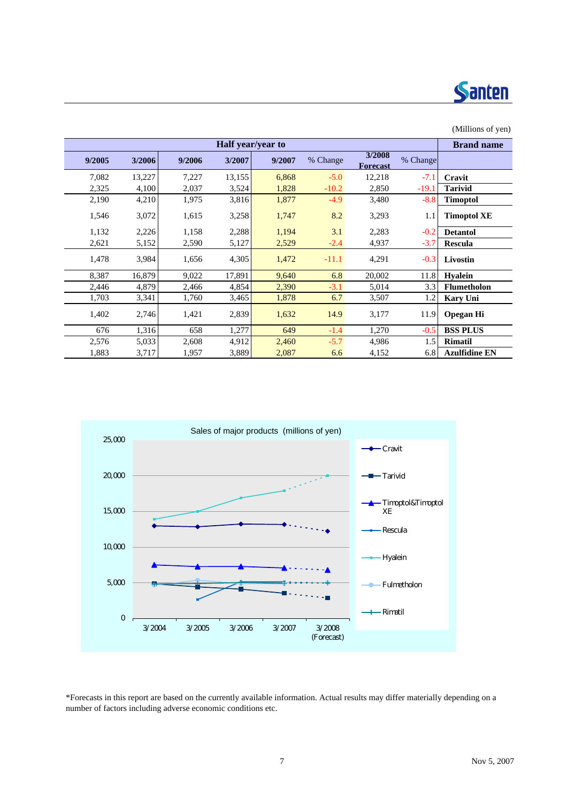

|        |        |        |                   |        |          |                    |          | (Millions of yen)    |
|--------|--------|--------|-------------------|--------|----------|--------------------|----------|----------------------|
|        |        |        | Half year/year to |        |          |                    |          | <b>Brand name</b>    |
| 9/2005 | 3/2006 | 9/2006 | 3/2007            | 9/2007 | % Change | 3/2008<br>Forecast | % Change |                      |
| 7,082  | 13,227 | 7,227  | 13,155            | 6,868  | $-5.0$   | 12,218             | $-7.1$   | Cravit               |
| 2,325  | 4,100  | 2,037  | 3,524             | 1,828  | $-10.2$  | 2,850              | $-19.1$  | <b>Tarivid</b>       |
| 2,190  | 4,210  | 1,975  | 3,816             | 1,877  | $-4.9$   | 3,480              | $-8.8$   | <b>Timoptol</b>      |
| 1,546  | 3,072  | 1,615  | 3,258             | 1,747  | 8.2      | 3,293              | 1.1      | <b>Timoptol XE</b>   |
| 1,132  | 2,226  | 1,158  | 2,288             | 1,194  | 3.1      | 2,283              | $-0.2$   | <b>Detantol</b>      |
| 2,621  | 5,152  | 2,590  | 5,127             | 2,529  | $-2.4$   | 4,937              | $-3.7$   | <b>Rescula</b>       |
| 1,478  | 3,984  | 1,656  | 4,305             | 1,472  | $-11.1$  | 4,291              | $-0.3$   | Livostin             |
| 8,387  | 16,879 | 9,022  | 17,891            | 9,640  | 6.8      | 20,002             | 11.8     | <b>Hyalein</b>       |
| 2,446  | 4,879  | 2,466  | 4,854             | 2,390  | $-3.1$   | 5,014              | 3.3      | <b>Flumetholon</b>   |
| 1,703  | 3,341  | 1,760  | 3,465             | 1,878  | 6.7      | 3,507              | 1.2      | <b>Kary Uni</b>      |
| 1,402  | 2,746  | 1,421  | 2,839             | 1,632  | 14.9     | 3,177              | 11.9     | <b>Opegan Hi</b>     |
| 676    | 1,316  | 658    | 1,277             | 649    | $-1.4$   | 1,270              | $-0.5$   | <b>BSS PLUS</b>      |
| 2,576  | 5,033  | 2,608  | 4,912             | 2,460  | $-5.7$   | 4,986              | 1.5      | <b>Rimatil</b>       |
| 1,883  | 3,717  | 1,957  | 3,889             | 2,087  | 6.6      | 4,152              | 6.8      | <b>Azulfidine EN</b> |



\*Forecasts in this report are based on the currently available information. Actual results may differ materially depending on a number of factors including adverse economic conditions etc.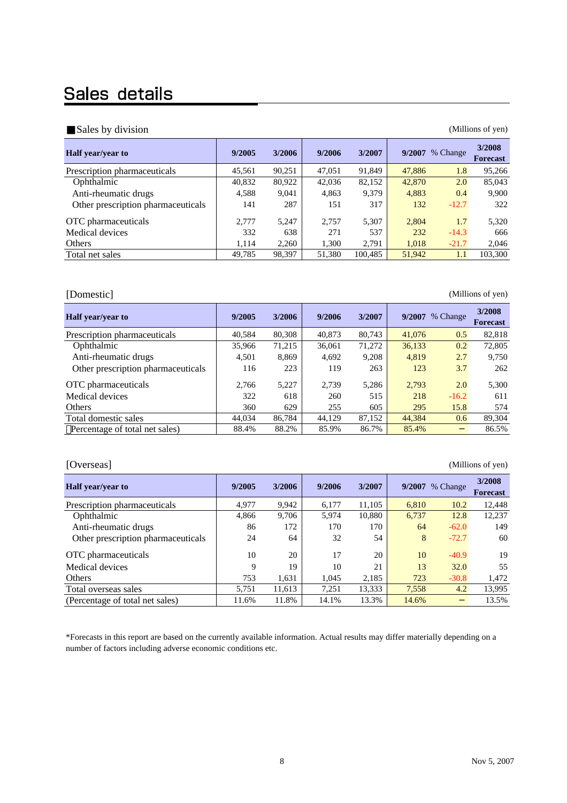### Sales details

| Sales by division                  | (Millions of yen) |        |        |         |        |          |                           |  |  |  |  |
|------------------------------------|-------------------|--------|--------|---------|--------|----------|---------------------------|--|--|--|--|
| <b>Half</b> year/year to           | 9/2005            | 3/2006 | 9/2006 | 3/2007  | 9/2007 | % Change | 3/2008<br><b>Forecast</b> |  |  |  |  |
| Prescription pharmaceuticals       | 45,561            | 90,251 | 47,051 | 91,849  | 47,886 | 1.8      | 95,266                    |  |  |  |  |
| Ophthalmic                         | 40,832            | 80,922 | 42,036 | 82,152  | 42,870 | 2.0      | 85,043                    |  |  |  |  |
| Anti-rheumatic drugs               | 4,588             | 9,041  | 4,863  | 9.379   | 4.883  | 0.4      | 9,900                     |  |  |  |  |
| Other prescription pharmaceuticals | 141               | 287    | 151    | 317     | 132    | $-12.7$  | 322                       |  |  |  |  |
| OTC pharmaceuticals                | 2.777             | 5.247  | 2.757  | 5,307   | 2,804  | 1.7      | 5,320                     |  |  |  |  |
| Medical devices                    | 332               | 638    | 271    | 537     | 232    | $-14.3$  | 666                       |  |  |  |  |
| Others                             | 1.114             | 2,260  | 1,300  | 2,791   | 1,018  | $-21.7$  | 2,046                     |  |  |  |  |
| Total net sales                    | 49.785            | 98,397 | 51,380 | 100.485 | 51,942 | 1.1      | 103,300                   |  |  |  |  |

[Domestic] (Millions of yen)

| <b>Half</b> year/year to           | 9/2005 | 3/2006 | 9/2006 | 3/2007 | 9/2007 | % Change | 3/2008<br><b>Forecast</b> |
|------------------------------------|--------|--------|--------|--------|--------|----------|---------------------------|
| Prescription pharmaceuticals       | 40,584 | 80,308 | 40,873 | 80,743 | 41,076 | 0.5      | 82,818                    |
| Ophthalmic                         | 35,966 | 71,215 | 36,061 | 71,272 | 36,133 | 0.2      | 72,805                    |
| Anti-rheumatic drugs               | 4,501  | 8,869  | 4,692  | 9,208  | 4,819  | 2.7      | 9,750                     |
| Other prescription pharmaceuticals | 116    | 223    | 119    | 263    | 123    | 3.7      | 262                       |
| OTC pharmaceuticals                | 2,766  | 5,227  | 2,739  | 5,286  | 2,793  | 2.0      | 5,300                     |
| Medical devices                    | 322    | 618    | 260    | 515    | 218    | $-16.2$  | 611                       |
| Others                             | 360    | 629    | 255    | 605    | 295    | 15.8     | 574                       |
| Total domestic sales               | 44,034 | 86,784 | 44,129 | 87,152 | 44,384 | 0.6      | 89,304                    |
| Percentage of total net sales)     | 88.4%  | 88.2%  | 85.9%  | 86.7%  | 85.4%  |          | 86.5%                     |

| [Overseas]                         | (Millions of yen) |        |        |        |        |          |                           |  |  |  |  |
|------------------------------------|-------------------|--------|--------|--------|--------|----------|---------------------------|--|--|--|--|
| Half year/year to                  | 9/2005            | 3/2006 | 9/2006 | 3/2007 | 9/2007 | % Change | 3/2008<br><b>Forecast</b> |  |  |  |  |
| Prescription pharmaceuticals       | 4,977             | 9,942  | 6.177  | 11,105 | 6,810  | 10.2     | 12,448                    |  |  |  |  |
| Ophthalmic                         | 4,866             | 9,706  | 5,974  | 10,880 | 6,737  | 12.8     | 12,237                    |  |  |  |  |
| Anti-rheumatic drugs               | 86                | 172    | 170    | 170    | 64     | $-62.0$  | 149                       |  |  |  |  |
| Other prescription pharmaceuticals | 24                | 64     | 32     | 54     | 8      | $-72.7$  | 60                        |  |  |  |  |
| OTC pharmaceuticals                | 10                | 20     | 17     | 20     | 10     | $-40.9$  | 19                        |  |  |  |  |
| Medical devices                    | 9                 | 19     | 10     | 21     | 13     | 32.0     | 55                        |  |  |  |  |
| Others                             | 753               | 1,631  | 1,045  | 2,185  | 723    | $-30.8$  | 1,472                     |  |  |  |  |
| Total overseas sales               | 5.751             | 11.613 | 7,251  | 13.333 | 7,558  | 4.2      | 13,995                    |  |  |  |  |
| (Percentage of total net sales)    | 11.6%             | 11.8%  | 14.1%  | 13.3%  | 14.6%  |          | 13.5%                     |  |  |  |  |

\*Forecasts in this report are based on the currently available information. Actual results may differ materially depending on a number of factors including adverse economic conditions etc.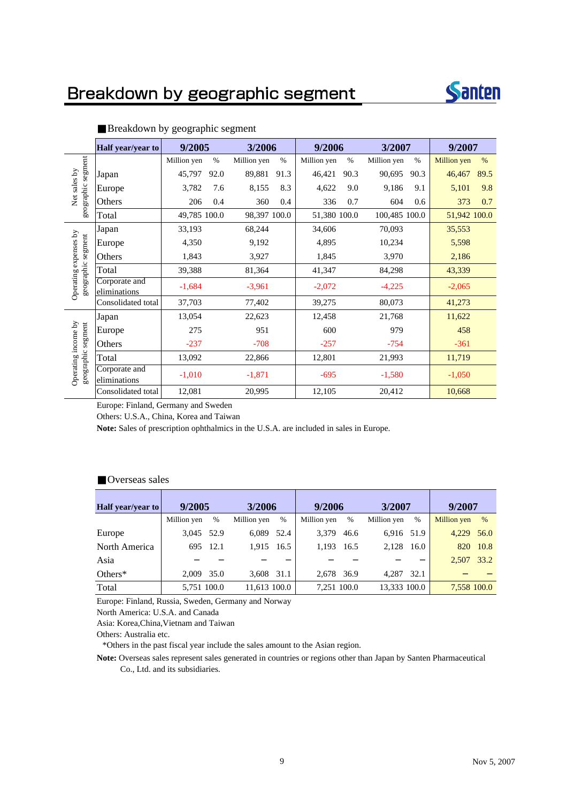### Breakdown by geographic segment



|                                           | Half year/year to             | 9/2005       |      | 3/2006       |      | 9/2006       |      | 3/2007        |      | 9/2007             |      |
|-------------------------------------------|-------------------------------|--------------|------|--------------|------|--------------|------|---------------|------|--------------------|------|
|                                           |                               | Million yen  | $\%$ | Million yen  | $\%$ | Million yen  | $\%$ | Million yen   | $\%$ | <b>Million</b> yen | $\%$ |
| segment                                   | Japan                         | 45,797       | 92.0 | 89,881       | 91.3 | 46,421       | 90.3 | 90,695        | 90.3 | 46,467             | 89.5 |
| Net sales by                              | Europe                        | 3,782        | 7.6  | 8,155        | 8.3  | 4,622        | 9.0  | 9,186         | 9.1  | 5,101              | 9.8  |
| geographic                                | Others                        | 206          | 0.4  | 360          | 0.4  | 336          | 0.7  | 604           | 0.6  | 373                | 0.7  |
|                                           | Total                         | 49,785 100.0 |      | 98,397 100.0 |      | 51,380 100.0 |      | 100,485 100.0 |      | 51,942 100.0       |      |
|                                           | Japan                         | 33,193       |      | 68,244       |      | 34,606       |      | 70,093        |      | 35,553             |      |
|                                           | Europe                        | 4,350        |      | 9,192        |      | 4,895        |      | 10,234        |      | 5,598              |      |
| expenses by                               | Others                        | 1,843        |      | 3,927        |      | 1,845        |      | 3,970         |      | 2,186              |      |
|                                           | Total                         | 39,388       |      | 81,364       |      | 41,347       |      | 84,298        |      | 43,339             |      |
| geographic segment<br>Operating           | Corporate and<br>eliminations | $-1,684$     |      | $-3,961$     |      | $-2,072$     |      | $-4,225$      |      | $-2,065$           |      |
|                                           | Consolidated total            | 37,703       |      | 77,402       |      | 39,275       |      | 80,073        |      | 41,273             |      |
|                                           | Japan                         | 13,054       |      | 22,623       |      | 12,458       |      | 21,768        |      | 11,622             |      |
|                                           | Europe                        | 275          |      | 951          |      | 600          |      | 979           |      | 458                |      |
|                                           | Others                        | $-237$       |      | $-708$       |      | $-257$       |      | $-754$        |      | $-361$             |      |
|                                           | Total                         | 13,092       |      | 22,866       |      | 12,801       |      | 21,993        |      | 11,719             |      |
| Operating income by<br>geographic segment | Corporate and<br>eliminations | $-1,010$     |      | $-1,871$     |      | $-695$       |      | $-1,580$      |      | $-1,050$           |      |
|                                           | Consolidated total            | 12,081       |      | 20,995       |      | 12,105       |      | 20,412        |      | 10,668             |      |

#### Breakdown by geographic segment

Europe: Finland, Germany and Sweden

Others: U.S.A., China, Korea and Taiwan

**Note:** Sales of prescription ophthalmics in the U.S.A. are included in sales in Europe.

#### Overseas sales

| Half year/year to | 9/2005      |       | 3/2006       |      | 9/2006      |      | 3/2007       |      | 9/2007      |      |
|-------------------|-------------|-------|--------------|------|-------------|------|--------------|------|-------------|------|
|                   | Million yen | $\%$  | Million yen  | $\%$ | Million yen | $\%$ | Million yen  | $\%$ | Million yen | $\%$ |
| Europe            | 3.045       | 52.9  | 6.089        | 52.4 | 3.379       | 46.6 | 6.916 51.9   |      | 4.229       | 56.0 |
| North America     | 695         | -12.1 | 1.915        | 16.5 | 1.193       | 16.5 | 2.128        | 16.0 | 820         | 10.8 |
| Asia              |             |       |              |      |             |      |              |      | 2.507       | 33.2 |
| Others $*$        | 2.009       | 35.0  | 3,608 31.1   |      | 2.678       | 36.9 | 4.287        | 32.1 |             |      |
| Total             | 5.751 100.0 |       | 11.613 100.0 |      | 7.251 100.0 |      | 13.333 100.0 |      | 7,558 100.0 |      |

Europe: Finland, Russia, Sweden, Germany and Norway

North America: U.S.A. and Canada

Asia: Korea,China,Vietnam and Taiwan

Others: Australia etc.

\*Others in the past fiscal year include the sales amount to the Asian region.

**Note:** Overseas sales represent sales generated in countries or regions other than Japan by Santen Pharmaceutical Co., Ltd. and its subsidiaries.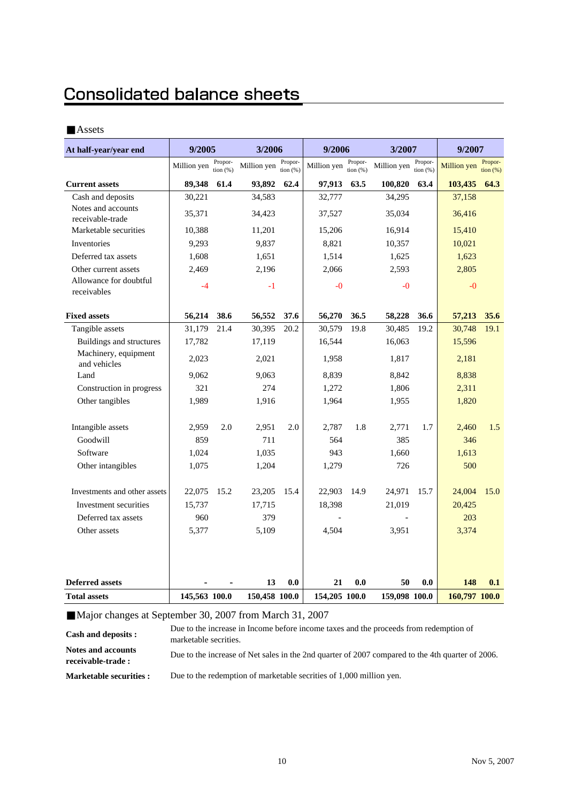### **Consolidated balance sheets**

#### Assets

| At half-year/year end                  | 9/2005        |                        | 3/2006        |                       | 9/2006        |                       | 3/2007        |                       | 9/2007             |                     |
|----------------------------------------|---------------|------------------------|---------------|-----------------------|---------------|-----------------------|---------------|-----------------------|--------------------|---------------------|
|                                        | Million yen   | Propor-<br>tion $(% )$ | Million yen   | Propor-<br>tion $(%)$ | Million yen   | Propor-<br>tion $(%)$ | Million yen   | Propor-<br>tion $(%)$ | <b>Million</b> yen | Propor-<br>tion (%) |
| <b>Current assets</b>                  | 89,348        | 61.4                   | 93,892        | 62.4                  | 97,913        | 63.5                  | 100,820       | 63.4                  | 103,435            | 64.3                |
| Cash and deposits                      | 30,221        |                        | 34,583        |                       | 32,777        |                       | 34,295        |                       | 37,158             |                     |
| Notes and accounts<br>receivable-trade | 35,371        |                        | 34,423        |                       | 37,527        |                       | 35,034        |                       | 36,416             |                     |
| Marketable securities                  | 10,388        |                        | 11,201        |                       | 15,206        |                       | 16,914        |                       | 15,410             |                     |
| Inventories                            | 9,293         |                        | 9,837         |                       | 8,821         |                       | 10,357        |                       | 10,021             |                     |
| Deferred tax assets                    | 1,608         |                        | 1,651         |                       | 1,514         |                       | 1,625         |                       | 1,623              |                     |
| Other current assets                   | 2,469         |                        | 2,196         |                       | 2,066         |                       | 2,593         |                       | 2,805              |                     |
| Allowance for doubtful<br>receivables  | $-4$          |                        | $-1$          |                       | $-0$          |                       | $-0$          |                       | $-0$               |                     |
| <b>Fixed assets</b>                    | 56,214        | 38.6                   | 56,552        | 37.6                  | 56,270        | 36.5                  | 58,228        | 36.6                  | 57,213             | 35.6                |
| Tangible assets                        | 31,179        | 21.4                   | 30,395        | 20.2                  | 30,579        | 19.8                  | 30,485        | 19.2                  | 30,748             | 19.1                |
| Buildings and structures               | 17,782        |                        | 17,119        |                       | 16,544        |                       | 16,063        |                       | 15,596             |                     |
| Machinery, equipment<br>and vehicles   | 2,023         |                        | 2,021         |                       | 1,958         |                       | 1,817         |                       | 2,181              |                     |
| Land                                   | 9,062         |                        | 9,063         |                       | 8,839         |                       | 8,842         |                       | 8,838              |                     |
| Construction in progress               | 321           |                        | 274           |                       | 1,272         |                       | 1,806         |                       | 2,311              |                     |
| Other tangibles                        | 1,989         |                        | 1,916         |                       | 1,964         |                       | 1,955         |                       | 1,820              |                     |
| Intangible assets                      | 2,959         | 2.0                    | 2,951         | 2.0                   | 2,787         | 1.8                   | 2,771         | 1.7                   | 2,460              | 1.5                 |
| Goodwill                               | 859           |                        | 711           |                       | 564           |                       | 385           |                       | 346                |                     |
| Software                               | 1,024         |                        | 1,035         |                       | 943           |                       | 1,660         |                       | 1,613              |                     |
| Other intangibles                      | 1,075         |                        | 1,204         |                       | 1,279         |                       | 726           |                       | 500                |                     |
| Investments and other assets           | 22,075        | 15.2                   | 23,205        | 15.4                  | 22,903        | 14.9                  | 24,971        | 15.7                  | 24,004             | 15.0                |
| Investment securities                  | 15,737        |                        | 17,715        |                       | 18,398        |                       | 21,019        |                       | 20,425             |                     |
| Deferred tax assets                    | 960           |                        | 379           |                       |               |                       |               |                       | 203                |                     |
| Other assets                           | 5,377         |                        | 5,109         |                       | 4,504         |                       | 3,951         |                       | 3,374              |                     |
|                                        |               |                        |               |                       |               |                       |               |                       |                    |                     |
| <b>Deferred assets</b>                 |               |                        | 13            | 0.0                   | 21            | 0.0                   | 50            | 0.0                   | 148                | 0.1                 |
| <b>Total assets</b>                    | 145,563 100.0 |                        | 150,458 100.0 |                       | 154,205 100.0 |                       | 159,098 100.0 |                       | 160,797 100.0      |                     |

Major changes at September 30, 2007 from March 31, 2007

**Cash and deposits : Notes and accounts receivable-trade : Marketable securities :** Due to the increase in Income before income taxes and the proceeds from redemption of marketable secrities. Due to the increase of Net sales in the 2nd quarter of 2007 compared to the 4th quarter of 2006. Due to the redemption of marketable secrities of 1,000 million yen.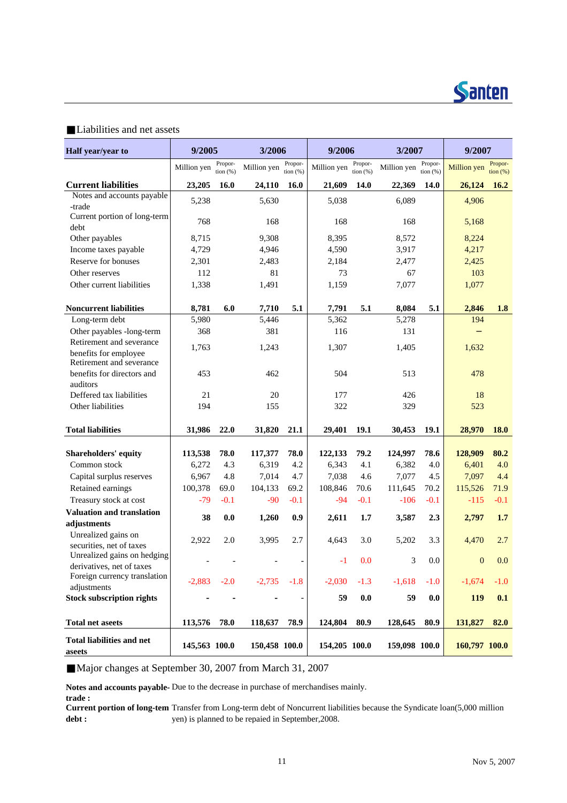

#### Liabilities and net assets

| Half year/year to                                 | 9/2005        |                        | 3/2006        |                          | 9/2006        |                       | 3/2007        |                       | 9/2007        |                              |
|---------------------------------------------------|---------------|------------------------|---------------|--------------------------|---------------|-----------------------|---------------|-----------------------|---------------|------------------------------|
|                                                   | Million yen   | Propor-<br>tion $(% )$ | Million yen   | Propor-<br>tion $(%)$    | Million yen   | Propor-<br>tion $(%)$ | Million yen   | Propor-<br>tion $(%)$ | Million yen   | Propor-<br>$\frac{1}{2}$ (%) |
| <b>Current liabilities</b>                        | 23,205        | 16.0                   | 24,110        | 16.0                     | 21,609        | 14.0                  | 22,369        | 14.0                  | 26,124        | 16.2                         |
| Notes and accounts payable                        | 5,238         |                        | 5,630         |                          | 5,038         |                       | 6,089         |                       | 4,906         |                              |
| -trade                                            |               |                        |               |                          |               |                       |               |                       |               |                              |
| Current portion of long-term<br>debt              | 768           |                        | 168           |                          | 168           |                       | 168           |                       | 5,168         |                              |
| Other payables                                    | 8,715         |                        | 9,308         |                          | 8,395         |                       | 8,572         |                       | 8,224         |                              |
| Income taxes payable                              | 4,729         |                        | 4,946         |                          | 4,590         |                       | 3,917         |                       | 4,217         |                              |
| Reserve for bonuses                               | 2,301         |                        | 2,483         |                          | 2,184         |                       | 2,477         |                       | 2,425         |                              |
| Other reserves                                    | 112           |                        | 81            |                          | 73            |                       | 67            |                       | 103           |                              |
| Other current liabilities                         | 1,338         |                        | 1,491         |                          | 1,159         |                       | 7,077         |                       | 1,077         |                              |
| <b>Noncurrent liabilities</b>                     | 8,781         | 6.0                    | 7,710         | 5.1                      | 7,791         | 5.1                   | 8,084         | 5.1                   | 2,846         | 1.8                          |
| Long-term debt                                    | 5,980         |                        | 5,446         |                          | 5,362         |                       | 5,278         |                       | 194           |                              |
| Other payables -long-term                         | 368           |                        | 381           |                          | 116           |                       | 131           |                       |               |                              |
| Retirement and severance                          | 1,763         |                        | 1,243         |                          | 1,307         |                       | 1,405         |                       | 1,632         |                              |
| benefits for employee<br>Retirement and severance |               |                        |               |                          |               |                       |               |                       |               |                              |
| benefits for directors and                        | 453           |                        | 462           |                          | 504           |                       | 513           |                       | 478           |                              |
| auditors                                          |               |                        |               |                          |               |                       |               |                       |               |                              |
| Deffered tax liabilities                          | 21            |                        | 20            |                          | 177           |                       | 426           |                       | 18            |                              |
| Other liabilities                                 | 194           |                        | 155           |                          | 322           |                       | 329           |                       | 523           |                              |
| <b>Total liabilities</b>                          | 31,986        | 22.0                   | 31,820        | 21.1                     | 29,401        | 19.1                  | 30,453        | 19.1                  | 28,970        | <b>18.0</b>                  |
| <b>Shareholders' equity</b>                       | 113,538       | 78.0                   | 117,377       | 78.0                     | 122,133       | 79.2                  | 124,997       | 78.6                  | 128,909       | 80.2                         |
| Common stock                                      | 6,272         | 4.3                    | 6,319         | 4.2                      | 6,343         | 4.1                   | 6,382         | 4.0                   | 6,401         | 4.0                          |
| Capital surplus reserves                          | 6,967         | 4.8                    | 7,014         | 4.7                      | 7,038         | 4.6                   | 7,077         | 4.5                   | 7,097         | 4.4                          |
| Retained earnings                                 | 100,378       | 69.0                   | 104,133       | 69.2                     | 108,846       | 70.6                  | 111,645       | 70.2                  | 115,526       | 71.9                         |
| Treasury stock at cost                            | $-79$         | $-0.1$                 | $-90$         | $-0.1$                   | $-94$         | $-0.1$                | $-106$        | $-0.1$                | $-115$        | $-0.1$                       |
| <b>Valuation and translation</b>                  |               |                        |               |                          |               |                       |               |                       |               |                              |
| adjustments                                       | 38            | 0.0                    | 1,260         | 0.9                      | 2,611         | 1.7                   | 3,587         | 2.3                   | 2,797         | 1.7                          |
| Unrealized gains on                               |               |                        |               |                          |               |                       |               |                       |               |                              |
| securities, net of taxes                          | 2,922         | 2.0                    | 3,995         | 2.7                      | 4,643         | 3.0                   | 5,202         | 3.3                   | 4,470         | 2.7                          |
| Unrealized gains on hedging                       |               |                        |               | $\overline{\phantom{a}}$ | $-1$          | 0.0                   | 3             | 0.0                   | $\mathbf{0}$  | 0.0                          |
| derivatives, net of taxes                         |               |                        |               |                          |               |                       |               |                       |               |                              |
| Foreign currency translation                      | $-2,883$      | $-2.0$                 | $-2,735$      | $-1.8$                   | $-2,030$      | $-1.3$                | $-1,618$      | $-1.0$                | $-1,674$      | $-1.0$                       |
| adjustments<br><b>Stock subscription rights</b>   |               |                        |               |                          | 59            | $\mathbf{0.0}$        | 59            | 0.0                   | <b>119</b>    | 0.1                          |
|                                                   |               |                        |               |                          |               |                       |               |                       |               |                              |
| <b>Total net aseets</b>                           | 113,576       | 78.0                   | 118,637       | 78.9                     | 124,804       | 80.9                  | 128,645       | 80.9                  | 131,827       | 82.0                         |
| <b>Total liabilities and net</b><br>aseets        | 145,563 100.0 |                        | 150,458 100.0 |                          | 154,205 100.0 |                       | 159,098 100.0 |                       | 160,797 100.0 |                              |

Major changes at September 30, 2007 from March 31, 2007

**Notes and accounts payable-**Due to the decrease in purchase of merchandises mainly. **trade :**

**Current portion of long-tem** Transfer from Long-term debt of Noncurrent liabilities because the Syndicate loan(5,000 million **debt :** yen) is planned to be repaied in September,2008.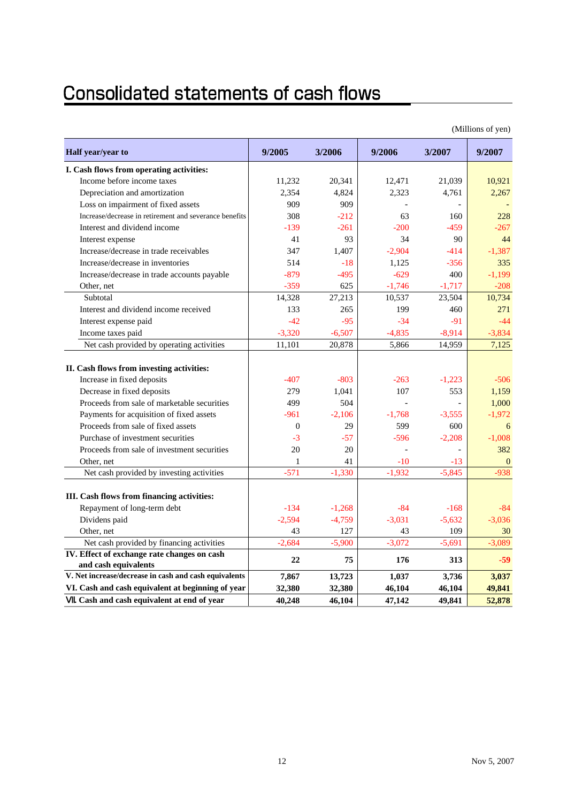### Consolidated statements of cash flows

|                                                                         |          |          |          |          | (1)          |
|-------------------------------------------------------------------------|----------|----------|----------|----------|--------------|
| Half year/year to                                                       | 9/2005   | 3/2006   | 9/2006   | 3/2007   | 9/2007       |
| I. Cash flows from operating activities:                                |          |          |          |          |              |
| Income before income taxes                                              | 11,232   | 20,341   | 12,471   | 21,039   | 10,921       |
| Depreciation and amortization                                           | 2,354    | 4,824    | 2,323    | 4,761    | 2,267        |
| Loss on impairment of fixed assets                                      | 909      | 909      |          |          |              |
| Increase/decrease in retirement and severance benefits                  | 308      | $-212$   | 63       | 160      | 228          |
| Interest and dividend income                                            | $-139$   | $-261$   | $-200$   | $-459$   | $-267$       |
| Interest expense                                                        | 41       | 93       | 34       | 90       | 44           |
| Increase/decrease in trade receivables                                  | 347      | 1,407    | $-2,904$ | $-414$   | $-1,387$     |
| Increase/decrease in inventories                                        | 514      | $-18$    | 1,125    | $-356$   | 335          |
| Increase/decrease in trade accounts payable                             | $-879$   | $-495$   | $-629$   | 400      | $-1,199$     |
| Other, net                                                              | $-359$   | 625      | $-1,746$ | $-1,717$ | $-208$       |
| Subtotal                                                                | 14,328   | 27,213   | 10,537   | 23,504   | 10,734       |
| Interest and dividend income received                                   | 133      | 265      | 199      | 460      | 271          |
| Interest expense paid                                                   | $-42$    | $-95$    | $-34$    | $-91$    | $-44$        |
| Income taxes paid                                                       | $-3,320$ | $-6,507$ | $-4,835$ | $-8,914$ | $-3,834$     |
| Net cash provided by operating activities                               | 11,101   | 20,878   | 5,866    | 14,959   | 7,125        |
| II. Cash flows from investing activities:<br>Increase in fixed deposits | $-407$   | $-803$   | $-263$   | $-1,223$ | $-506$       |
| Decrease in fixed deposits                                              | 279      | 1,041    | 107      | 553      | 1,159        |
| Proceeds from sale of marketable securities                             | 499      | 504      |          |          | 1,000        |
| Payments for acquisition of fixed assets                                | $-961$   | $-2.106$ | $-1.768$ | $-3,555$ | $-1,972$     |
| Proceeds from sale of fixed assets                                      | $\Omega$ | 29       | 599      | 600      | 6            |
| Purchase of investment securities                                       | $-3$     | -57      | $-596$   | $-2,208$ | $-1,008$     |
| Proceeds from sale of investment securities                             | 20       | 20       | ä,       |          | 382          |
| Other, net                                                              | 1        | 41       | $-10$    | $-13$    | $\mathbf{0}$ |
| Net cash provided by investing activities                               | $-571$   | $-1,330$ | $-1,932$ | $-5,845$ | $-938$       |
|                                                                         |          |          |          |          |              |
| III. Cash flows from financing activities:                              |          |          |          |          |              |
| Repayment of long-term debt                                             | $-134$   | $-1,268$ | $-84$    | $-168$   | $-84$        |
| Dividens paid                                                           | $-2,594$ | $-4,759$ | $-3,031$ | $-5,632$ | $-3,036$     |
| Other, net                                                              | 43       | 127      | 43       | 109      | 30           |
| Net cash provided by financing activities                               | $-2,684$ | $-5,900$ | $-3,072$ | $-5,691$ | $-3,089$     |
| IV. Effect of exchange rate changes on cash                             | 22       | 75       | 176      | 313      | $-59$        |
| and cash equivalents                                                    |          |          |          |          |              |
| V. Net increase/decrease in cash and cash equivalents                   | 7,867    | 13,723   | 1,037    | 3,736    | 3,037        |
| VI. Cash and cash equivalent at beginning of year                       | 32,380   | 32,380   | 46,104   | 46,104   | 49,841       |
| . Cash and cash equivalent at end of year                               | 40,248   | 46,104   | 47.142   | 49,841   | 52,878       |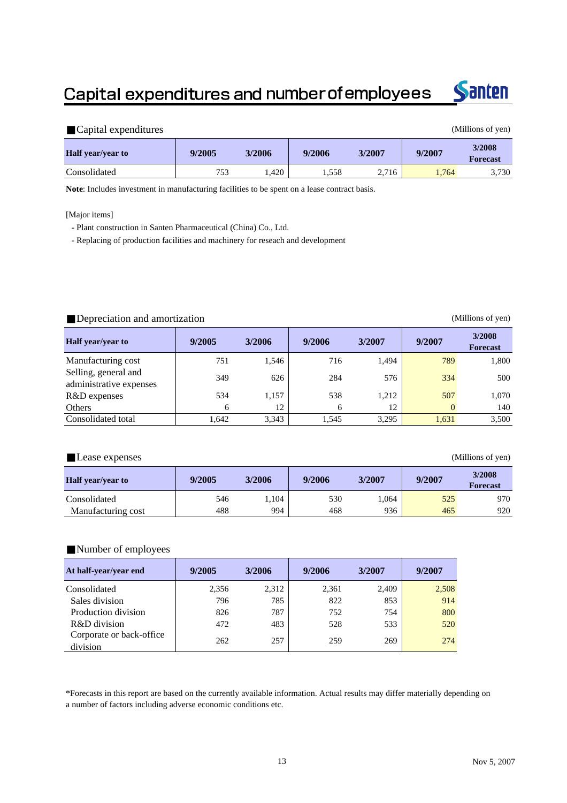### Capital expenditures and number of employees



| Capital expenditures     |        |        |        |        |        | (Millions of yen)         |
|--------------------------|--------|--------|--------|--------|--------|---------------------------|
| <b>Half</b> year/year to | 9/2005 | 3/2006 | 9/2006 | 3/2007 | 9/2007 | 3/2008<br><b>Forecast</b> |
| Consolidated             | 753    | .420   | 1.558  | 2,716  | 1.764  | 3,730                     |

**Note**: Includes investment in manufacturing facilities to be spent on a lease contract basis.

[Major items]

- Plant construction in Santen Pharmaceutical (China) Co., Ltd.

- Replacing of production facilities and machinery for reseach and development

#### Depreciation and amortization (Millions of yen)

| <b>Half</b> year/year to                        | 9/2005 | 3/2006 | 9/2006 | 3/2007 | 9/2007   | 3/2008<br><b>Forecast</b> |
|-------------------------------------------------|--------|--------|--------|--------|----------|---------------------------|
| Manufacturing cost                              | 751    | 1,546  | 716    | 1.494  | 789      | 1,800                     |
| Selling, general and<br>administrative expenses | 349    | 626    | 284    | 576    | 334      | 500                       |
| R&D expenses                                    | 534    | 1,157  | 538    | 1.212  | 507      | 1,070                     |
| <b>Others</b>                                   | 6      | 12     | 6      | 12     | $\Omega$ | 140                       |
| Consolidated total                              | 1.642  | 3,343  | 1,545  | 3,295  | 1,631    | 3,500                     |

Lease expenses (Millions of yen)

| <b>Half</b> year/year to | 9/2005 | 3/2006 | 9/2006 | 3/2007 | 9/2007 | 3/2008<br><b>Forecast</b> |
|--------------------------|--------|--------|--------|--------|--------|---------------------------|
| Consolidated             | 546    | .,104  | 530    | .064   | 525    | 970                       |
| Manufacturing cost       | 488    | 994    | 468    | 936    | 465    | 920                       |

#### Number of employees

| At half-year/year end                | 9/2005 | 3/2006 | 9/2006 | 3/2007 | 9/2007 |
|--------------------------------------|--------|--------|--------|--------|--------|
| Consolidated                         | 2.356  | 2,312  | 2,361  | 2,409  | 2,508  |
| Sales division                       | 796    | 785    | 822    | 853    | 914    |
| Production division                  | 826    | 787    | 752    | 754    | 800    |
| R&D division                         | 472    | 483    | 528    | 533    | 520    |
| Corporate or back-office<br>division | 262    | 257    | 259    | 269    | 274    |

\*Forecasts in this report are based on the currently available information. Actual results may differ materially depending on a number of factors including adverse economic conditions etc.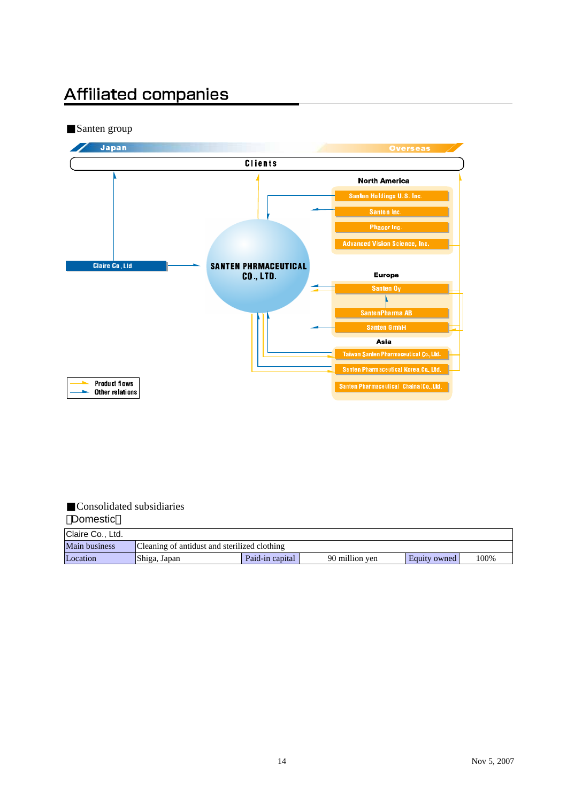### **Affiliated companies**

Santen group



#### Consolidated subsidiaries Domestic

| Claire Co., Ltd.     |                                              |                 |                |              |      |
|----------------------|----------------------------------------------|-----------------|----------------|--------------|------|
| <b>Main business</b> | Cleaning of antidust and sterilized clothing |                 |                |              |      |
| Location             | Shiga, Japan                                 | Paid-in capital | 90 million yen | Equity owned | 100% |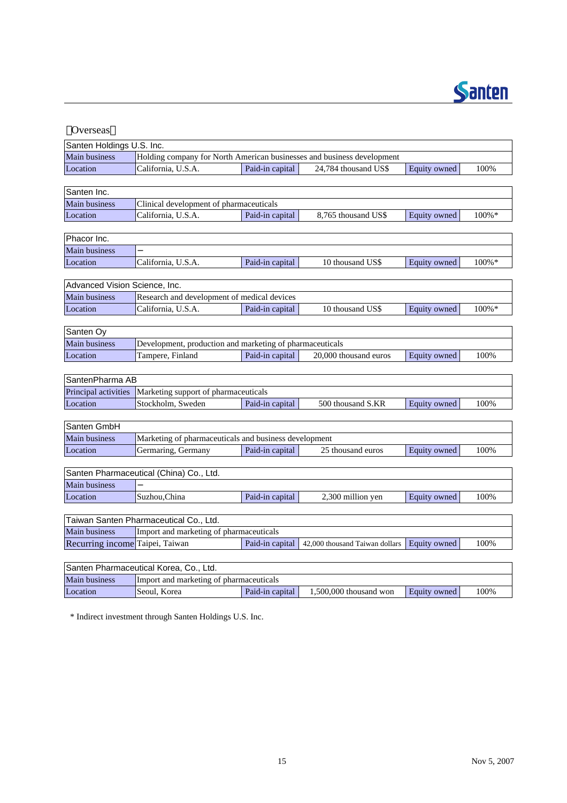

| Overseas                         |                                                                        |                 |                                |              |           |
|----------------------------------|------------------------------------------------------------------------|-----------------|--------------------------------|--------------|-----------|
| Santen Holdings U.S. Inc.        |                                                                        |                 |                                |              |           |
| Main business                    | Holding company for North American businesses and business development |                 |                                |              |           |
| Location                         | California, U.S.A.                                                     | Paid-in capital | 24,784 thousand US\$           | Equity owned | 100%      |
|                                  |                                                                        |                 |                                |              |           |
| Santen Inc.                      |                                                                        |                 |                                |              |           |
| Main business                    | Clinical development of pharmaceuticals                                |                 |                                |              |           |
| Location                         | California, U.S.A.                                                     | Paid-in capital | 8,765 thousand US\$            | Equity owned | $100\% *$ |
|                                  |                                                                        |                 |                                |              |           |
| Phacor Inc.                      |                                                                        |                 |                                |              |           |
| <b>Main business</b>             |                                                                        |                 |                                |              |           |
| Location                         | California, U.S.A.                                                     | Paid-in capital | 10 thousand US\$               | Equity owned | $100\% *$ |
|                                  |                                                                        |                 |                                |              |           |
| Advanced Vision Science, Inc.    |                                                                        |                 |                                |              |           |
| Main business                    | Research and development of medical devices                            |                 |                                |              |           |
| Location                         | California, U.S.A.                                                     | Paid-in capital | 10 thousand US\$               | Equity owned | $100\% *$ |
|                                  |                                                                        |                 |                                |              |           |
| Santen Oy                        |                                                                        |                 |                                |              |           |
| <b>Main business</b>             | Development, production and marketing of pharmaceuticals               |                 |                                |              |           |
| Location                         | Tampere, Finland                                                       | Paid-in capital | 20,000 thousand euros          | Equity owned | 100%      |
| SantenPharma AB                  |                                                                        |                 |                                |              |           |
|                                  |                                                                        |                 |                                |              |           |
| Principal activities<br>Location | Marketing support of pharmaceuticals                                   |                 |                                |              |           |
|                                  | Stockholm, Sweden                                                      | Paid-in capital | 500 thousand S.KR              | Equity owned | 100%      |
| Santen GmbH                      |                                                                        |                 |                                |              |           |
| Main business                    | Marketing of pharmaceuticals and business development                  |                 |                                |              |           |
| Location                         | Germaring, Germany                                                     | Paid-in capital | 25 thousand euros              | Equity owned | 100%      |
|                                  |                                                                        |                 |                                |              |           |
|                                  | Santen Pharmaceutical (China) Co., Ltd.                                |                 |                                |              |           |
| <b>Main business</b>             |                                                                        |                 |                                |              |           |
| Location                         | Suzhou, China                                                          | Paid-in capital | 2,300 million yen              | Equity owned | 100%      |
|                                  |                                                                        |                 |                                |              |           |
|                                  | Taiwan Santen Pharmaceutical Co., Ltd.                                 |                 |                                |              |           |
| <b>Main business</b>             | Import and marketing of pharmaceuticals                                |                 |                                |              |           |
| Recurring income Taipei, Taiwan  |                                                                        | Paid-in capital | 42,000 thousand Taiwan dollars | Equity owned | 100%      |
|                                  |                                                                        |                 |                                |              |           |
|                                  | Santen Pharmaceutical Korea, Co., Ltd.                                 |                 |                                |              |           |
| Main business                    | Import and marketing of pharmaceuticals                                |                 |                                |              |           |
| Location                         | Seoul. Korea                                                           | Paid-in capital | $1,500,000$ thousand won       | Equity owned | 100%      |

\* Indirect investment through Santen Holdings U.S. Inc.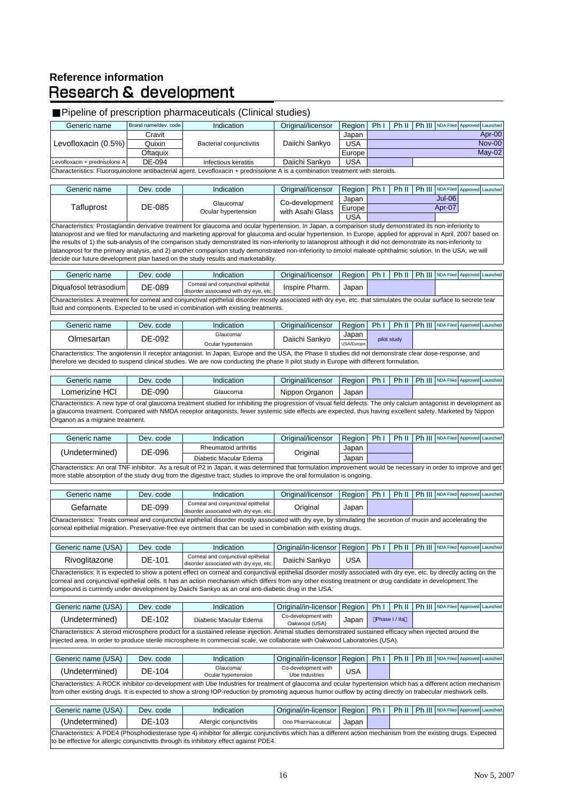# Reference information<br>Research & development

#### Pipeline of prescription pharmaceuticals (Clinical studies)

| Generic name                                                                                                                  | Brand name/dev, code | Indication               | Original/licensor | Region     | Ph I | Ph II   Ph III   NDA Filed   Approved   Launched |  |  |  |
|-------------------------------------------------------------------------------------------------------------------------------|----------------------|--------------------------|-------------------|------------|------|--------------------------------------------------|--|--|--|
|                                                                                                                               | Cravit               |                          |                   | Japan      |      | Apr-00                                           |  |  |  |
| Levofloxacin (0.5%)                                                                                                           | Quixin               | Bacterial conjunctivitis | Daiichi Sankyo    | <b>USA</b> |      | <b>Nov-00</b>                                    |  |  |  |
|                                                                                                                               | Oftaguix             |                          |                   | Europel    |      | $Mav-02$                                         |  |  |  |
| Levofloxacin + prednisolone A                                                                                                 | DE-094               | Infectious keratitis     | Daiichi Sankvo    | <b>USA</b> |      |                                                  |  |  |  |
| Characteristics: Fluoroquinolone antibacterial agent. Levofloxacin + prednisolone A is a combination treatment with steroids. |                      |                          |                   |            |      |                                                  |  |  |  |

| Generic name | Dev. code | Indication                       | Original/licensor                  | Region     | Phi                 | Ph II |  | Ph III NDA Filed Approved Launched |  |
|--------------|-----------|----------------------------------|------------------------------------|------------|---------------------|-------|--|------------------------------------|--|
| Tafluprost   | DE-085    | Glaucoma/<br>Ocular hypertension | Co-development<br>with Asahi Glass | Japan      | Jul-06 <sup>1</sup> |       |  |                                    |  |
|              |           |                                  |                                    | Europel    |                     |       |  | Apr-07                             |  |
|              |           |                                  |                                    | <b>USA</b> |                     |       |  |                                    |  |

Characteristics: Prostaglandin derivative treatment for glaucoma and ocular hypertension. In Japan, a comparison study demonstrated its non-inferiority to latanoprost and we filed for manufacturing and marketing approval for glaucoma and ocular hypertension. In Europe, applied for approval in April, 2007 based on the results of 1) the sub-analysis of the comparison study demonstrated its non-inferiority to latanoprost although it did not demonstrate its non-inferiority to latanoprost for the primary analysis, and 2) another comparison study demonstrated non-inferiority to timolol maleate ophthalmic solution. In the USA, we will decide our future development plan based on the study results and marketability.

| Generic name                                                                       | Dev. code                                                                                                                                                             | Indication                                                                    | Original/licensor | Region | Ph <sub>1</sub> |  |  | Ph II   Ph III   NDA Filed   Approved   Launched |  |  |  |
|------------------------------------------------------------------------------------|-----------------------------------------------------------------------------------------------------------------------------------------------------------------------|-------------------------------------------------------------------------------|-------------------|--------|-----------------|--|--|--------------------------------------------------|--|--|--|
| Diquafosol tetrasodium                                                             | DE-089                                                                                                                                                                | Corneal and conjunctival epithelial<br>disorder associated with dry eve. etc. | Inspire Pharm.    | Japan  |                 |  |  |                                                  |  |  |  |
|                                                                                    | Characteristics: A treatment for corneal and conjunctival epithelial disorder mostly associated with dry eye, etc. that stimulates the ocular surface to secrete tear |                                                                               |                   |        |                 |  |  |                                                  |  |  |  |
| fluid and components. Expected to be used in combination with existing treatments. |                                                                                                                                                                       |                                                                               |                   |        |                 |  |  |                                                  |  |  |  |

| Generic name                                                                                                                                             | Dev. code | Indication                       | Original/licensor | Region              | <b>Ph</b> |             |  | Ph II   Ph III   NDA Filed   Approved   Launched |  |  |
|----------------------------------------------------------------------------------------------------------------------------------------------------------|-----------|----------------------------------|-------------------|---------------------|-----------|-------------|--|--------------------------------------------------|--|--|
| Olmesartan                                                                                                                                               | DE-092    | Glaucoma/<br>Ocular hypertension | Daiichi Sankyo    | Japan<br>USA/Europe |           | pilot study |  |                                                  |  |  |
| Characteristics: The angiotensin II receptor antagonist. In Japan, Europe and the USA, the Phase II studies did not demonstrate clear dose-response, and |           |                                  |                   |                     |           |             |  |                                                  |  |  |

therefore we decided to suspend clinical studies. We are now conducting the phase II pilot study in Europe with different formulation.

| Generic name                                                                                                                                                         | Dev. code | Indication | Original/licensor | Region | Ph I | Ph II |  | Ph III NDA Filed Approved Launched |  |  |
|----------------------------------------------------------------------------------------------------------------------------------------------------------------------|-----------|------------|-------------------|--------|------|-------|--|------------------------------------|--|--|
| Lomerizine HCI                                                                                                                                                       | DE-090    | Glaucoma   | Nippon Organon    | Japan  |      |       |  |                                    |  |  |
| Characteristics: A new type of oral glaucoma treatment studied for inhibiting the progression of visual field defects. The only calcium antagonist in development as |           |            |                   |        |      |       |  |                                    |  |  |
| a glaucoma treatment. Compared with NMDA receptor antagonists, fewer systemic side effects are expected, thus having excellent safety. Marketed by Nippon            |           |            |                   |        |      |       |  |                                    |  |  |
| Organon as a migraine treatment.                                                                                                                                     |           |            |                   |        |      |       |  |                                    |  |  |

| Generic name   | Dev. code | Indication                                                                                                                                                        | Original/licensor | Region   Ph I |  | Ph II   Ph III   NDA Filed   Approved   Launched |  |
|----------------|-----------|-------------------------------------------------------------------------------------------------------------------------------------------------------------------|-------------------|---------------|--|--------------------------------------------------|--|
|                | DE-096    | Rheumatoid arthritis                                                                                                                                              | Original          | Japan         |  |                                                  |  |
| (Undetermined) |           | Diabetic Macular Edema                                                                                                                                            |                   | Japan         |  |                                                  |  |
|                |           | Characteristics: An oral TNF inhibitor. As a result of P2 in Japan, it was determined that formulation improvement would be necessary in order to improve and get |                   |               |  |                                                  |  |
|                |           | more stable absorption of the study drug from the digestive tract; studies to improve the oral formulation is ongoing.                                            |                   |               |  |                                                  |  |

| Generic name                                                                                                                                                                                                                                                                         | Dev. code | Indication                                                                    | Original/licensor | Region Ph I Ph II |  |  |  | Ph III NDA Filed Approved Launched |  |  |
|--------------------------------------------------------------------------------------------------------------------------------------------------------------------------------------------------------------------------------------------------------------------------------------|-----------|-------------------------------------------------------------------------------|-------------------|-------------------|--|--|--|------------------------------------|--|--|
| Gefarnate                                                                                                                                                                                                                                                                            | DE-099    | Corneal and conjunctival epithelial<br>disorder associated with dry eye, etc. | Original          | Japan             |  |  |  |                                    |  |  |
| Characteristics: Treats corneal and conjunctival epithelial disorder mostly associated with dry eye, by stimulating the secretion of mucin and accelerating the<br>corneal epithelial migration. Preservative-free eye ointment that can be used in combination with existing drugs. |           |                                                                               |                   |                   |  |  |  |                                    |  |  |

| Generic name (USA) | Dev. code                                                                                                                                                                                                                                                          | Indication                                                                                                                                                             | Original/in-licensor                 | Region     | Ph <sub>1</sub> | Ph II |  | Ph III NDA Filed Approved Launched |  |  |
|--------------------|--------------------------------------------------------------------------------------------------------------------------------------------------------------------------------------------------------------------------------------------------------------------|------------------------------------------------------------------------------------------------------------------------------------------------------------------------|--------------------------------------|------------|-----------------|-------|--|------------------------------------|--|--|
| Rivoglitazone      | DE-101                                                                                                                                                                                                                                                             | Corneal and conjunctival epithelial<br>disorder associated with dry eye, etc.                                                                                          | Daiichi Sankyo                       | <b>USA</b> |                 |       |  |                                    |  |  |
|                    |                                                                                                                                                                                                                                                                    | Characteristics: It is expected to show a potent effect on corneal and conjunctival epithelial disorder mostly associated with dry eye, etc. by directly acting on the |                                      |            |                 |       |  |                                    |  |  |
|                    |                                                                                                                                                                                                                                                                    |                                                                                                                                                                        |                                      |            |                 |       |  |                                    |  |  |
|                    | corneal and conjunctival epithelial cells. It has an action mechanism which differs from any other existing treatment or drug candidate in development. The<br>compound is currently under development by Daiichi Sankyo as an oral anti-diabetic drug in the USA. |                                                                                                                                                                        |                                      |            |                 |       |  |                                    |  |  |
|                    |                                                                                                                                                                                                                                                                    |                                                                                                                                                                        |                                      |            |                 |       |  |                                    |  |  |
| Generic name (USA) | Dev. code                                                                                                                                                                                                                                                          | Indication                                                                                                                                                             | Original/in-licensor                 | Region     | Ph <sub>1</sub> | Ph II |  | Ph III NDA Filed Approved Launched |  |  |
| (Undetermined)     | DF-102                                                                                                                                                                                                                                                             | Diabetic Macular Edema                                                                                                                                                 | Co-development with<br>Oakwood (USA) | Japan      | Phase I / Ila   |       |  |                                    |  |  |
|                    |                                                                                                                                                                                                                                                                    | Characteristics: A steroid microsphere product for a sustained release injection. Animal studies demonstrated sustained efficacy when injected around the              |                                      |            |                 |       |  |                                    |  |  |
|                    |                                                                                                                                                                                                                                                                    | injected area. In order to produce sterile microsphere in commercial scale, we collaborate with Oakwood Laboratories (USA).                                            |                                      |            |                 |       |  |                                    |  |  |

| Generic name (USA)                                                                                                                                                                                                                                                                                                            | Dev. code | Indication                       | Original/in-licensor   Region         |            | Phi | PhII |  | Ph III NDA Filed Approved Launched |  |  |  |
|-------------------------------------------------------------------------------------------------------------------------------------------------------------------------------------------------------------------------------------------------------------------------------------------------------------------------------|-----------|----------------------------------|---------------------------------------|------------|-----|------|--|------------------------------------|--|--|--|
| (Undetermined)                                                                                                                                                                                                                                                                                                                | DE-104    | Glaucoma/<br>Ocular hypertension | Co-development with<br>Ube Industries | <b>USA</b> |     |      |  |                                    |  |  |  |
| Characteristics: A ROCK inhibitor co-development with Ube Industries for treatment of glaucoma and ocular hypertension which has a different action mechanism<br>from other existing drugs. It is expected to show a strong IOP-reduction by promoting aqueous humor outflow by acting directly on trabecular meshwork cells. |           |                                  |                                       |            |     |      |  |                                    |  |  |  |
|                                                                                                                                                                                                                                                                                                                               |           |                                  |                                       |            |     |      |  |                                    |  |  |  |

| Generic name (USA)                                                                                                                                                | Dev. code | <b>Indication</b>       | Original/in-licensor   Region   Ph I |       |  | Ph II   Ph III   NDA Filed   Approved   Launched |  |  |  |  |
|-------------------------------------------------------------------------------------------------------------------------------------------------------------------|-----------|-------------------------|--------------------------------------|-------|--|--------------------------------------------------|--|--|--|--|
| (Undetermined)                                                                                                                                                    | DE-103    | Allergic conjunctivitis | Ono Pharmaceutical                   | Japan |  |                                                  |  |  |  |  |
| Characteristics: A PDE4 (Phosphodiesterase type 4) inhibitor for allergic conjunctivitis which has a different action mechanism from the existing drugs. Expected |           |                         |                                      |       |  |                                                  |  |  |  |  |
| to be effective for allergic conjunctivitis through its inhibitory effect against PDE4.                                                                           |           |                         |                                      |       |  |                                                  |  |  |  |  |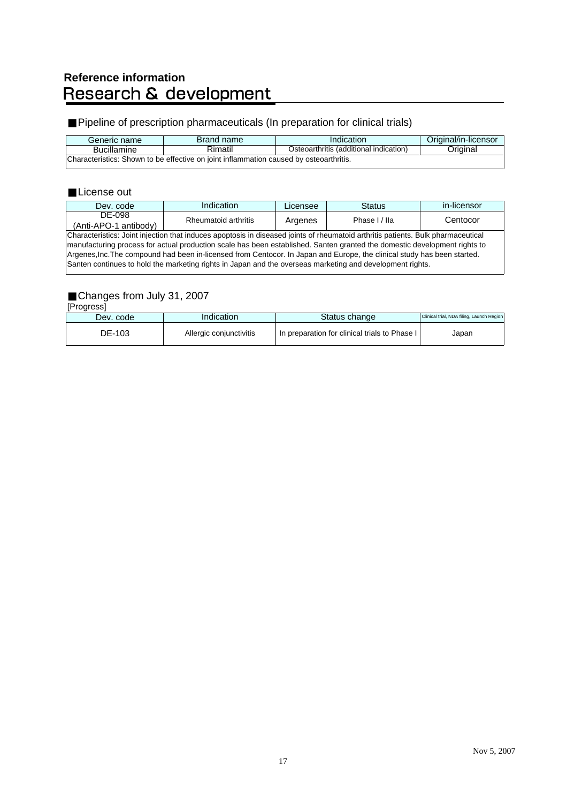# **Reference information<br>Research & development**

### Pipeline of prescription pharmaceuticals (In preparation for clinical trials)

| Generic name                                                                           | Brand name | Indication                             | Original/in-licensor |  |  |  |  |  |
|----------------------------------------------------------------------------------------|------------|----------------------------------------|----------------------|--|--|--|--|--|
| <b>Bucillamine</b>                                                                     | Rimatil    | Osteoarthritis (additional indication) | Original             |  |  |  |  |  |
| Characteristics: Shown to be effective on joint inflammation caused by osteoarthritis. |            |                                        |                      |  |  |  |  |  |

#### License out

| Dev. code                                                                                                                        | Indication                                                                                                                | Licensee | <b>Status</b> | in-licensor |  |  |  |  |
|----------------------------------------------------------------------------------------------------------------------------------|---------------------------------------------------------------------------------------------------------------------------|----------|---------------|-------------|--|--|--|--|
| DE-098                                                                                                                           | Rheumatoid arthritis                                                                                                      |          | Phase I / Ila | Centocor    |  |  |  |  |
| (Anti-APO-1 antibody)                                                                                                            |                                                                                                                           | Argenes  |               |             |  |  |  |  |
| Characteristics: Joint injection that induces apoptosis in diseased joints of rheumatoid arthritis patients. Bulk pharmaceutical |                                                                                                                           |          |               |             |  |  |  |  |
|                                                                                                                                  | manufacturing process for actual production scale has been established. Santen granted the domestic development rights to |          |               |             |  |  |  |  |
| Argenes, Inc. The compound had been in-licensed from Centocor. In Japan and Europe, the clinical study has been started.         |                                                                                                                           |          |               |             |  |  |  |  |
| Santen continues to hold the marketing rights in Japan and the overseas marketing and development rights.                        |                                                                                                                           |          |               |             |  |  |  |  |
|                                                                                                                                  |                                                                                                                           |          |               |             |  |  |  |  |

### Changes from July 31, 2007

[Progress]

| Dev. code | Indication              | Status change                                 | Clinical trial, NDA filing, Launch Region |
|-----------|-------------------------|-----------------------------------------------|-------------------------------------------|
| DE-103    | Allergic conjunctivitis | In preparation for clinical trials to Phase I | Japan                                     |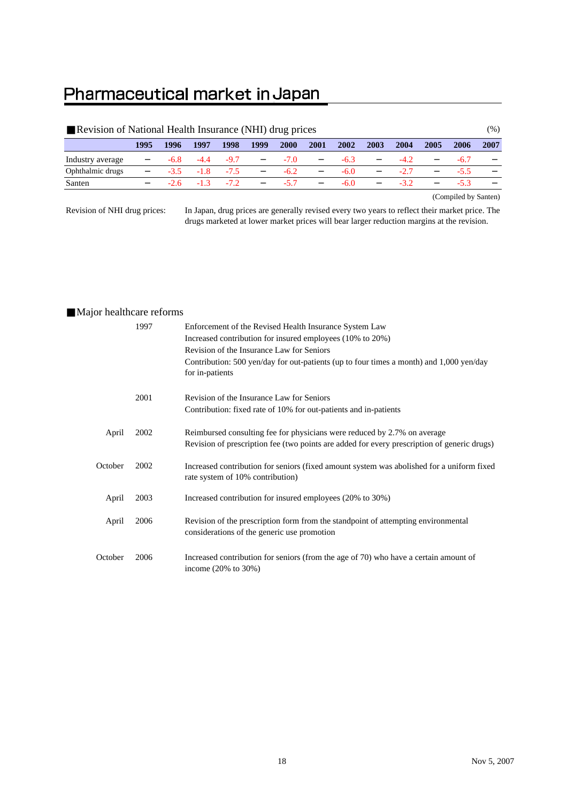### Pharmaceutical market in Japan

| Revision of National Health Insurance (NHI) drug prices |      |        |        |        |      |        |      |        |      |        |      | $(\%)$ |      |
|---------------------------------------------------------|------|--------|--------|--------|------|--------|------|--------|------|--------|------|--------|------|
|                                                         | 1995 | 1996   | 1997   | 1998   | 1999 | 2000   | 2001 | 2002   | 2003 | 2004   | 2005 | 2006   | 2007 |
| Industry average                                        |      | -6.8   | $-4.4$ | $-9.7$ |      | $-7.0$ |      | $-6.3$ |      | $-4.2$ |      | $-6.7$ |      |
| Ophthalmic drugs                                        |      | -3.5   | $-1.8$ | $-7.5$ |      | $-6.2$ |      | $-6.0$ |      | $-2.7$ |      | $-5.5$ |      |
| Santen                                                  |      | $-2.6$ | $-1.3$ | $-7.2$ |      | $-5.7$ |      | $-6.0$ |      | $-32$  |      | $-5.3$ |      |

(Compiled by Santen)

Revision of NHI drug prices:

In Japan, drug prices are generally revised every two years to reflect their market price. The drugs marketed at lower market prices will bear larger reduction margins at the revision.

#### Major healthcare reforms

|         | 1997 | Enforcement of the Revised Health Insurance System Law<br>Increased contribution for insured employees (10% to 20%)                                                     |
|---------|------|-------------------------------------------------------------------------------------------------------------------------------------------------------------------------|
|         |      | Revision of the Insurance Law for Seniors                                                                                                                               |
|         |      | Contribution: 500 yen/day for out-patients (up to four times a month) and 1,000 yen/day<br>for in-patients                                                              |
|         | 2001 | Revision of the Insurance Law for Seniors<br>Contribution: fixed rate of 10% for out-patients and in-patients                                                           |
| April   | 2002 | Reimbursed consulting fee for physicians were reduced by 2.7% on average<br>Revision of prescription fee (two points are added for every prescription of generic drugs) |
| October | 2002 | Increased contribution for seniors (fixed amount system was abolished for a uniform fixed<br>rate system of 10% contribution)                                           |
| April   | 2003 | Increased contribution for insured employees (20% to 30%)                                                                                                               |
| April   | 2006 | Revision of the prescription form from the standpoint of attempting environmental<br>considerations of the generic use promotion                                        |
| October | 2006 | Increased contribution for seniors (from the age of 70) who have a certain amount of<br>income $(20\% \text{ to } 30\%)$                                                |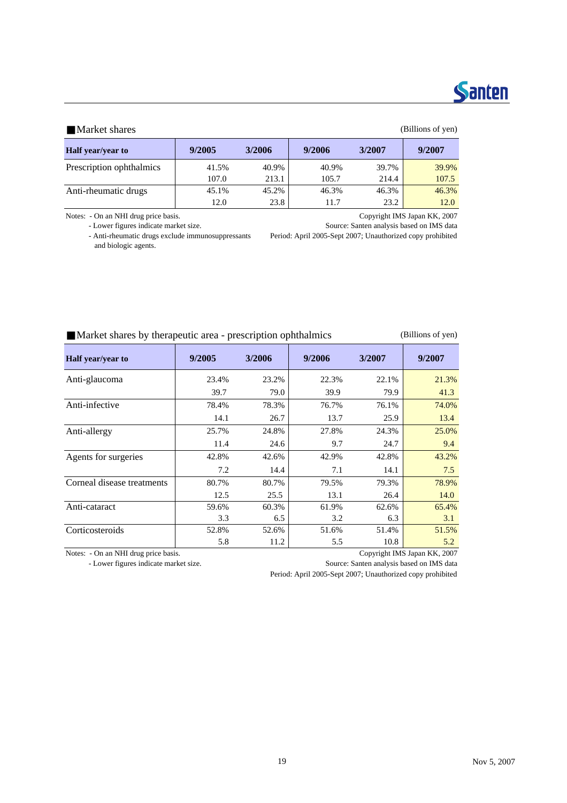## **Santen**

#### Market shares (Billions of yen)

| <b>Half</b> year/year to | 9/2005 | 3/2006 | 9/2006 | 3/2007 | 9/2007 |
|--------------------------|--------|--------|--------|--------|--------|
| Prescription ophthalmics | 41.5%  | 40.9%  | 40.9%  | 39.7%  | 39.9%  |
|                          | 107.0  | 213.1  | 105.7  | 214.4  | 107.5  |
| Anti-rheumatic drugs     | 45.1%  | 45.2%  | 46.3%  | 46.3%  | 46.3%  |
|                          | 12.0   | 23.8   | 11.7   | 23.2   | 12.0   |

- Anti-rheumatic drugs exclude immunosuppressants Period: April 2005-Sept 2007; Unauthorized copy prohibited

Notes: - On an NHI drug price basis. Copyright IMS Japan KK, 2007<br>- Lower figures indicate market size. Source: Santen analysis based on IMS data Source: Santen analysis based on IMS data

and biologic agents.

#### Market shares by therapeutic area - prescription ophthalmics (Billions of yen)

| Half year/year to          | 9/2005 | 3/2006 | 9/2006 | 3/2007 | 9/2007 |
|----------------------------|--------|--------|--------|--------|--------|
| Anti-glaucoma              | 23.4%  | 23.2%  | 22.3%  | 22.1%  | 21.3%  |
|                            | 39.7   | 79.0   | 39.9   | 79.9   | 41.3   |
| Anti-infective             | 78.4%  | 78.3%  | 76.7%  | 76.1%  | 74.0%  |
|                            | 14.1   | 26.7   | 13.7   | 25.9   | 13.4   |
| Anti-allergy               | 25.7%  | 24.8%  | 27.8%  | 24.3%  | 25.0%  |
|                            | 11.4   | 24.6   | 9.7    | 24.7   | 9.4    |
| Agents for surgeries       | 42.8%  | 42.6%  | 42.9%  | 42.8%  | 43.2%  |
|                            | 7.2    | 14.4   | 7.1    | 14.1   | 7.5    |
| Corneal disease treatments | 80.7%  | 80.7%  | 79.5%  | 79.3%  | 78.9%  |
|                            | 12.5   | 25.5   | 13.1   | 26.4   | 14.0   |
| Anti-cataract              | 59.6%  | 60.3%  | 61.9%  | 62.6%  | 65.4%  |
|                            | 3.3    | 6.5    | 3.2    | 6.3    | 3.1    |
| Corticosteroids            | 52.8%  | 52.6%  | 51.6%  | 51.4%  | 51.5%  |
|                            | 5.8    | 11.2   | 5.5    | 10.8   | 5.2    |

Notes: - On an NHI drug price basis. Copyright IMS Japan KK, 2007

- Lower figures indicate market size. Source: Santen analysis based on IMS data

Period: April 2005-Sept 2007; Unauthorized copy prohibited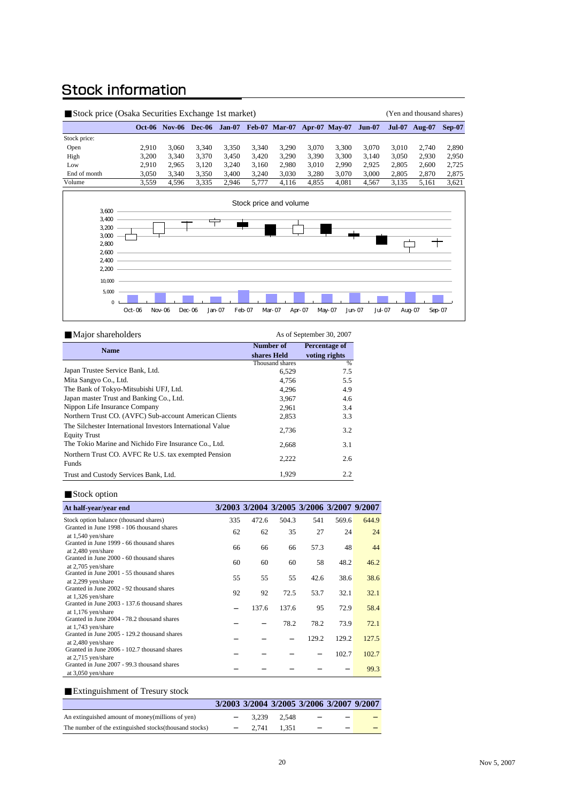### **Stock information**

| Stock price (Osaka Securities Exchange 1st market) |        |          |        |        |       |                             |       |       |        |               | (Yen and thousand shares) |          |
|----------------------------------------------------|--------|----------|--------|--------|-------|-----------------------------|-------|-------|--------|---------------|---------------------------|----------|
|                                                    | Oct-06 | $Nov-06$ | Dec-06 | Jan-07 |       | Feb-07 Mar-07 Apr-07 May-07 |       |       | Jun-07 | <b>Jul-07</b> | <b>Aug-07</b>             | $Sep-07$ |
| Stock price:                                       |        |          |        |        |       |                             |       |       |        |               |                           |          |
| Open                                               | 2.910  | 3.060    | 3.340  | 3.350  | 3.340 | 3.290                       | 3.070 | 3.300 | 3.070  | 3.010         | 2.740                     | 2,890    |
| High                                               | 3.200  | 3.340    | 3.370  | 3.450  | 3.420 | 3.290                       | 3.390 | 3.300 | 3.140  | 3,050         | 2.930                     | 2,950    |
| Low                                                | 2.910  | 2.965    | 3.120  | 3.240  | 3.160 | 2.980                       | 3.010 | 2.990 | 2.925  | 2.805         | 2.600                     | 2.725    |
| End of month                                       | 3.050  | 3.340    | 3.350  | 3.400  | 3.240 | 3.030                       | 3.280 | 3.070 | 3.000  | 2.805         | 2.870                     | 2,875    |
| Volume                                             | 3.559  | 4.596    | 3.335  | 2.946  | 5.777 | 4.116                       | 4.855 | 4.081 | 4.567  | 3.135         | 5.161                     | 3,621    |



| Major shareholders                                                                | As of September 30, 2007 |               |  |  |  |
|-----------------------------------------------------------------------------------|--------------------------|---------------|--|--|--|
| <b>Name</b>                                                                       | Number of                | Percentage of |  |  |  |
|                                                                                   | shares Held              | voting rights |  |  |  |
|                                                                                   | Thousand shares          | %             |  |  |  |
| Japan Trustee Service Bank, Ltd.                                                  | 6,529                    | 7.5           |  |  |  |
| Mita Sangyo Co., Ltd.                                                             | 4,756                    | 5.5           |  |  |  |
| The Bank of Tokyo-Mitsubishi UFJ, Ltd.                                            | 4.296                    | 4.9           |  |  |  |
| Japan master Trust and Banking Co., Ltd.                                          | 3,967                    | 4.6           |  |  |  |
| Nippon Life Insurance Company                                                     | 2,961                    | 3.4           |  |  |  |
| Northern Trust CO. (AVFC) Sub-account American Clients                            | 2,853                    | 3.3           |  |  |  |
| The Silchester International Investors International Value<br><b>Equity Trust</b> | 2,736                    | 3.2           |  |  |  |
| The Tokio Marine and Nichido Fire Insurance Co., Ltd.                             | 2,668                    | 3.1           |  |  |  |
| Northern Trust CO. AVFC Re U.S. tax exempted Pension<br>Funds                     | 2,222                    | 2.6           |  |  |  |
| Trust and Custody Services Bank, Ltd.                                             | 1,929                    | 2.2           |  |  |  |

#### Stock option

| At half-year/year end                                            |     | 3/2003 3/2004 3/2005 3/2006 3/2007 9/2007 |       |       |       |       |
|------------------------------------------------------------------|-----|-------------------------------------------|-------|-------|-------|-------|
| Stock option balance (thousand shares)                           | 335 | 472.6                                     | 504.3 | 541   | 569.6 | 644.9 |
| Granted in June 1998 - 106 thousand shares<br>at 1,540 yen/share | 62  | 62                                        | 35    | 27    | 24    | 24    |
| Granted in June 1999 - 66 thousand shares                        | 66  | 66                                        | 66    | 57.3  | 48    | 44    |
| at 2,480 yen/share<br>Granted in June 2000 - 60 thousand shares  |     |                                           |       |       |       |       |
| at 2,705 yen/share                                               | 60  | 60                                        | 60    | 58    | 48.2  | 46.2  |
| Granted in June 2001 - 55 thousand shares                        | 55  | 55                                        | 55    | 42.6  | 38.6  | 38.6  |
| at 2,299 yen/share<br>Granted in June 2002 - 92 thousand shares  |     |                                           |       |       |       |       |
| at 1,326 yen/share                                               | 92  | 92                                        | 72.5  | 53.7  | 32.1  | 32.1  |
| Granted in June 2003 - 137.6 thousand shares                     |     |                                           |       |       |       |       |
| at 1,176 yen/share                                               |     | 137.6                                     | 137.6 | 95    | 72.9  | 58.4  |
| Granted in June 2004 - 78.2 thousand shares                      |     |                                           |       |       |       |       |
| at 1,743 yen/share                                               |     |                                           | 78.2  | 78.2  | 73.9  | 72.1  |
| Granted in June 2005 - 129.2 thousand shares                     |     |                                           |       | 129.2 | 129.2 | 127.5 |
| at 2,480 yen/share                                               |     |                                           |       |       |       |       |
| Granted in June 2006 - 102.7 thousand shares                     |     |                                           |       |       | 102.7 | 102.7 |
| at $2,715$ yen/share                                             |     |                                           |       |       |       |       |
| Granted in June 2007 - 99.3 thousand shares                      |     |                                           |       |       |       | 99.3  |
| at 3,050 yen/share                                               |     |                                           |       |       |       |       |

#### Extinguishment of Tresury stock

|                                                         | 3/2003 3/2004 3/2005 3/2006 3/2007 9/2007 |             |  |  |
|---------------------------------------------------------|-------------------------------------------|-------------|--|--|
| An extinguished amount of money(millions of yen)        |                                           | 3.239 2.548 |  |  |
| The number of the extinguished stocks (thousand stocks) |                                           | 2.741 1.351 |  |  |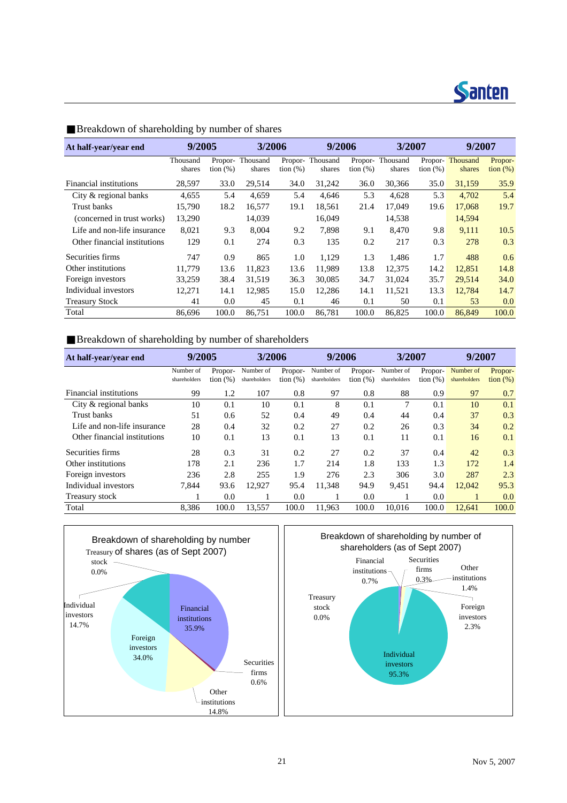

| At half-year/year end        | 9/2005             |             | 3/2006                    |                        | 9/2006             |             | 3/2007                    |             | 9/2007                    |                              |
|------------------------------|--------------------|-------------|---------------------------|------------------------|--------------------|-------------|---------------------------|-------------|---------------------------|------------------------------|
|                              | Thousand<br>shares | tion $(\%)$ | Propor-Thousand<br>shares | Propor-<br>tion $(\%)$ | Thousand<br>shares | tion $(\%)$ | Propor-Thousand<br>shares | tion $(\%)$ | Propor-Thousand<br>shares | Propor-<br>$\frac{1}{2}$ (%) |
| Financial institutions       | 28,597             | 33.0        | 29,514                    | 34.0                   | 31,242             | 36.0        | 30,366                    | 35.0        | 31,159                    | 35.9                         |
| City & regional banks        | 4,655              | 5.4         | 4,659                     | 5.4                    | 4,646              | 5.3         | 4,628                     | 5.3         | 4,702                     | 5.4                          |
| Trust banks                  | 15,790             | 18.2        | 16,577                    | 19.1                   | 18,561             | 21.4        | 17,049                    | 19.6        | 17,068                    | 19.7                         |
| (concerned in trust works)   | 13,290             |             | 14,039                    |                        | 16,049             |             | 14,538                    |             | 14,594                    |                              |
| Life and non-life insurance  | 8,021              | 9.3         | 8.004                     | 9.2                    | 7.898              | 9.1         | 8.470                     | 9.8         | 9.111                     | 10.5                         |
| Other financial institutions | 129                | 0.1         | 274                       | 0.3                    | 135                | 0.2         | 217                       | 0.3         | 278                       | 0.3                          |
| Securities firms             | 747                | 0.9         | 865                       | 1.0                    | 1,129              | 1.3         | 1,486                     | 1.7         | 488                       | 0.6                          |
| Other institutions           | 11,779             | 13.6        | 11,823                    | 13.6                   | 11.989             | 13.8        | 12,375                    | 14.2        | 12,851                    | 14.8                         |
| Foreign investors            | 33,259             | 38.4        | 31.519                    | 36.3                   | 30,085             | 34.7        | 31,024                    | 35.7        | 29,514                    | 34.0                         |
| Individual investors         | 12,271             | 14.1        | 12.985                    | 15.0                   | 12,286             | 14.1        | 11,521                    | 13.3        | 12,784                    | 14.7                         |
| <b>Treasury Stock</b>        | 41                 | 0.0         | 45                        | 0.1                    | 46                 | 0.1         | 50                        | 0.1         | 53                        | 0.0                          |
| Total                        | 86.696             | 100.0       | 86.751                    | 100.0                  | 86.781             | 100.0       | 86.825                    | 100.0       | 86,849                    | 100.0                        |

Breakdown of shareholding by number of shares

### Breakdown of shareholding by number of shareholders

| At half-year/year end        | 9/2005                    |                        | 3/2006                    |                        | 9/2006                    |                        | 3/2007                    |                        | 9/2007                    |                        |
|------------------------------|---------------------------|------------------------|---------------------------|------------------------|---------------------------|------------------------|---------------------------|------------------------|---------------------------|------------------------|
|                              | Number of<br>shareholders | Propor-<br>tion $(\%)$ | Number of<br>shareholders | Propor-<br>tion $(\%)$ | Number of<br>shareholders | Propor-<br>tion $(\%)$ | Number of<br>shareholders | Propor-<br>tion $(\%)$ | Number of<br>shareholders | Propor-<br>tion $(\%)$ |
| Financial institutions       | 99                        | 1.2                    | 107                       | 0.8                    | 97                        | 0.8                    | 88                        | 0.9                    | 97                        | 0.7                    |
| City & regional banks        | 10                        | 0.1                    | 10                        | 0.1                    | 8                         | 0.1                    | 7                         | 0.1                    | 10                        | 0.1                    |
| Trust banks                  | 51                        | 0.6                    | 52                        | 0.4                    | 49                        | 0.4                    | 44                        | 0.4                    | 37                        | 0.3                    |
| Life and non-life insurance  | 28                        | 0.4                    | 32                        | 0.2                    | 27                        | 0.2                    | 26                        | 0.3                    | 34                        | 0.2                    |
| Other financial institutions | 10                        | 0.1                    | 13                        | 0.1                    | 13                        | 0.1                    | 11                        | 0.1                    | 16                        | 0.1                    |
| Securities firms             | 28                        | 0.3                    | 31                        | 0.2                    | 27                        | 0.2                    | 37                        | 0.4                    | 42                        | 0.3                    |
| Other institutions           | 178                       | 2.1                    | 236                       | 1.7                    | 214                       | 1.8                    | 133                       | 1.3                    | 172                       | 1.4                    |
| Foreign investors            | 236                       | 2.8                    | 255                       | 1.9                    | 276                       | 2.3                    | 306                       | 3.0                    | 287                       | 2.3                    |
| Individual investors         | 7.844                     | 93.6                   | 12.927                    | 95.4                   | 11.348                    | 94.9                   | 9.451                     | 94.4                   | 12.042                    | 95.3                   |
| Treasury stock               |                           | 0.0                    |                           | 0.0                    |                           | 0.0                    |                           | 0.0                    |                           | 0.0                    |
| Total                        | 8,386                     | 100.0                  | 13,557                    | 100.0                  | 11.963                    | 100.0                  | 10.016                    | 100.0                  | 12.641                    | 100.0                  |



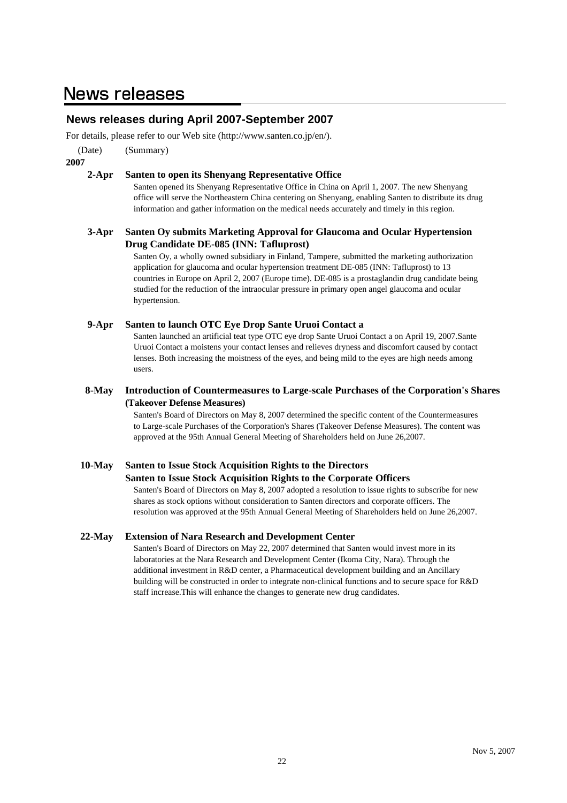### **News releases**

### **News releases during April 2007-September 2007**

For details, please refer to our Web site (http://www.santen.co.jp/en/).

(Date) (Summary)

#### **2007**

#### **2-Apr Santen to open its Shenyang Representative Office**

Santen opened its Shenyang Representative Office in China on April 1, 2007. The new Shenyang office will serve the Northeastern China centering on Shenyang, enabling Santen to distribute its drug information and gather information on the medical needs accurately and timely in this region.

#### **3-Apr Santen Oy submits Marketing Approval for Glaucoma and Ocular Hypertension Drug Candidate DE-085 (INN: Tafluprost)**

Santen Oy, a wholly owned subsidiary in Finland, Tampere, submitted the marketing authorization application for glaucoma and ocular hypertension treatment DE-085 (INN: Tafluprost) to 13 countries in Europe on April 2, 2007 (Europe time). DE-085 is a prostaglandin drug candidate being studied for the reduction of the intraocular pressure in primary open angel glaucoma and ocular hypertension.

#### **9-Apr Santen to launch OTC Eye Drop Sante Uruoi Contact a**

Santen launched an artificial teat type OTC eye drop Sante Uruoi Contact a on April 19, 2007.Sante Uruoi Contact a moistens your contact lenses and relieves dryness and discomfort caused by contact lenses. Both increasing the moistness of the eyes, and being mild to the eyes are high needs among users.

#### **8-May Introduction of Countermeasures to Large-scale Purchases of the Corporation's Shares (Takeover Defense Measures)**

Santen's Board of Directors on May 8, 2007 determined the specific content of the Countermeasures to Large-scale Purchases of the Corporation's Shares (Takeover Defense Measures). The content was approved at the 95th Annual General Meeting of Shareholders held on June 26,2007.

#### **10-May Santen to Issue Stock Acquisition Rights to the Directors**

#### **Santen to Issue Stock Acquisition Rights to the Corporate Officers**

Santen's Board of Directors on May 8, 2007 adopted a resolution to issue rights to subscribe for new shares as stock options without consideration to Santen directors and corporate officers. The resolution was approved at the 95th Annual General Meeting of Shareholders held on June 26,2007.

#### **22-May Extension of Nara Research and Development Center**

Santen's Board of Directors on May 22, 2007 determined that Santen would invest more in its laboratories at the Nara Research and Development Center (Ikoma City, Nara). Through the additional investment in R&D center, a Pharmaceutical development building and an Ancillary building will be constructed in order to integrate non-clinical functions and to secure space for R&D staff increase.This will enhance the changes to generate new drug candidates.